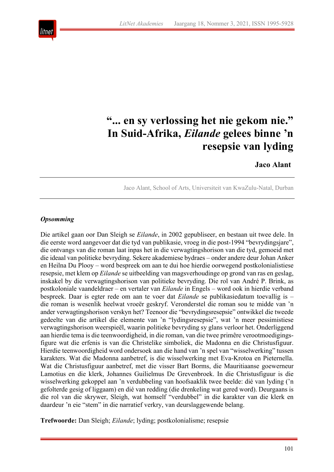

# **"... en sy verlossing het nie gekom nie." In Suid-Afrika,** *Eilande* **gelees binne 'n resepsie van lyding**

## **Jaco Alant**

Jaco Alant, School of Arts, Universiteit van KwaZulu-Natal, Durban

## *Opsomming*

Die artikel gaan oor Dan Sleigh se *Eilande*, in 2002 gepubliseer, en bestaan uit twee dele. In die eerste word aangevoer dat die tyd van publikasie, vroeg in die post-1994 "bevrydingsjare", die ontvangs van die roman laat inpas het in die verwagtingshorison van die tyd, gemoeid met die ideaal van politieke bevryding. Sekere akademiese bydraes – onder andere deur Johan Anker en Heilna Du Plooy – word bespreek om aan te dui hoe hierdie oorwegend postkolonialistiese resepsie, met klem op *Eilande* se uitbeelding van magsverhoudinge op grond van ras en geslag, inskakel by die verwagtingshorison van politieke bevryding. Die rol van André P. Brink, as postkoloniale vaandeldraer – en vertaler van *Eilande* in Engels – word ook in hierdie verband bespreek. Daar is egter rede om aan te voer dat *Eilande* se publikasiedatum toevallig is – die roman is wesenlik heelwat vroeër geskryf. Veronderstel die roman sou te midde van 'n ander verwagtingshorison verskyn het? Teenoor die "bevrydingsresepsie" ontwikkel die tweede gedeelte van die artikel die elemente van 'n "lydingsresepsie", wat 'n meer pessimistiese verwagtingshorison weerspieël, waarin politieke bevryding sy glans verloor het. Onderliggend aan hierdie tema is die teenwoordigheid, in die roman, van die twee primêre verootmoedigingsfigure wat die erfenis is van die Christelike simboliek, die Madonna en die Christusfiguur. Hierdie teenwoordigheid word ondersoek aan die hand van 'n spel van "wisselwerking" tussen karakters. Wat die Madonna aanbetref, is die wisselwerking met Eva-Krotoa en Pieternella. Wat die Christusfiguur aanbetref, met die visser Bart Borms, die Mauritiaanse goewerneur Lamotius en die klerk, Johannes Guilielmus De Grevenbroek. In die Christusfiguur is die wisselwerking gekoppel aan 'n verdubbeling van hoofsaaklik twee beelde: dié van lyding ('n gefolterde gesig of liggaam) en dié van redding (die drenkeling wat gered word). Deurgaans is die rol van die skrywer, Sleigh, wat homself "verdubbel" in die karakter van die klerk en daardeur 'n eie "stem" in die narratief verkry, van deurslaggewende belang.

**Trefwoorde:** Dan Sleigh; *Eilande*; lyding; postkolonialisme; resepsie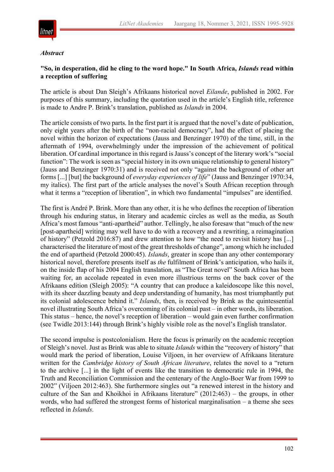

#### *Abstract*

## **"So, in desperation, did he cling to the word hope." In South Africa,** *Islands* **read within a reception of suffering**

The article is about Dan Sleigh's Afrikaans historical novel *Eilande*, published in 2002. For purposes of this summary, including the quotation used in the article's English title, reference is made to Andre P. Brink's translation, published as *Islands* in 2004.

The article consists of two parts. In the first part it is argued that the novel's date of publication, only eight years after the birth of the "non-racial democracy", had the effect of placing the novel within the horizon of expectations (Jauss and Benzinger 1970) of the time, still, in the aftermath of 1994, overwhelmingly under the impression of the achievement of political liberation. Of cardinal importance in this regard is Jauss's concept of the literary work's "social function": The work is seen as "special history in its own unique relationship to general history" (Jauss and Benzinger 1970:31) and is received not only "against the background of other art forms [...] [but] the background of *everyday experiences of life*" (Jauss and Benzinger 1970:34, my italics). The first part of the article analyses the novel's South African reception through what it terms a "reception of liberation", in which two fundamental "impulses" are identified.

The first is André P. Brink. More than any other, it is he who defines the reception of liberation through his enduring status, in literary and academic circles as well as the media, as South Africa's most famous "anti-apartheid" author. Tellingly, he also foresaw that "much of the new [post-apartheid] writing may well have to do with a recovery and a rewriting, a reimagination of history" (Petzold 2016:87) and drew attention to how "the need to revisit history has [...] characterised the literature of most of the great thresholds of change", among which he included the end of apartheid (Petzold 2000:45). *Islands*, greater in scope than any other contemporary historical novel, therefore presents itself as *the* fulfilment of Brink's anticipation, who hails it, on the inside flap of his 2004 English translation, as "The Great novel" South Africa has been waiting for, an accolade repeated in even more illustrious terms on the back cover of the Afrikaans edition (Sleigh 2005): "A country that can produce a kaleidoscope like this novel, with its sheer dazzling beauty and deep understanding of humanity, has most triumphantly put its colonial adolescence behind it." *Islands*, then, is received by Brink as the quintessential novel illustrating South Africa's overcoming of its colonial past – in other words, its liberation. This status – hence, the novel's reception of liberation – would gain even further confirmation (see Twidle 2013:144) through Brink's highly visible role as the novel's English translator.

The second impulse is postcolonialism. Here the focus is primarily on the academic reception of Sleigh's novel. Just as Brink was able to situate *Islands* within the "recovery of history" that would mark the period of liberation, Louise Viljoen, in her overview of Afrikaans literature written for the *Cambridge history of South African literature*, relates the novel to a "return to the archive [...] in the light of events like the transition to democratic rule in 1994, the Truth and Reconciliation Commission and the centenary of the Anglo-Boer War from 1999 to 2002" (Viljoen 2012:463). She furthermore singles out "a renewed interest in the history and culture of the San and Khoikhoi in Afrikaans literature" (2012:463) – the groups, in other words, who had suffered the strongest forms of historical marginalisation – a theme she sees reflected in *Islands*.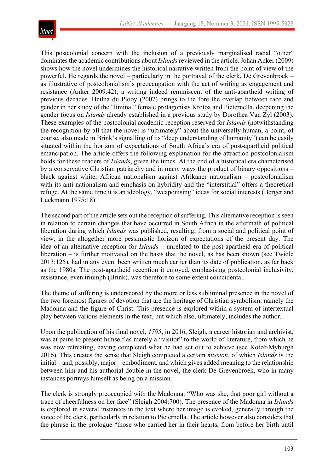

This postcolonial concern with the inclusion of a previously marginalised racial "other" dominates the academic contributions about *Islands* reviewed in the article. Johan Anker (2009) shows how the novel undermines the historical narrative written from the point of view of the powerful. He regards the novel – particularly in the portrayal of the clerk, De Grevenbroek – as illustrative of postcolonialism's preoccupation with the act of writing as engagement and resistance (Anker 2009:42), a writing indeed reminiscent of the anti-apartheid writing of previous decades. Heilna du Plooy (2007) brings to the fore the overlap between race and gender in her study of the "liminal" female protagonists Krotoa and Pieternella, deepening the gender focus on *Islands* already established in a previous study by Dorothea Van Zyl (2003). These examples of the postcolonial academic reception reserved for *Islands* (notwithstanding the recognition by all that the novel is "ultimately" about the universally human, a point, of course, also made in Brink's signalling of its "deep understanding of humanity") can be easily situated within the horizon of expectations of South Africa's era of post-apartheid political emancipation. The article offers the following explanation for the attraction postcolonialism holds for these readers of *Islands*, given the times. At the end of a historical era characterised by a conservative Christian patriarchy and in many ways the product of binary oppositions – black against white, African nationalism against Afrikaner nationalism – postcolonialism with its anti-nationalism and emphasis on hybridity and the "interstitial" offers a theoretical refuge. At the same time it is an ideology, "weaponising" ideas for social interests (Berger and Luckmann 1975:18).

The second part of the article sets out the reception of suffering. This alternative reception is seen in relation to certain changes that have occurred in South Africa in the aftermath of political liberation during which *Islands* was published, resulting, from a social and political point of view, in the altogether more pessimistic horizon of expectations of the present day. The idea of an alternative reception for *Islands* – unrelated to the post-apartheid era of political liberation – is further motivated on the basis that the novel, as has been shown (see Twidle 2013:125), had in any event been written much earlier than its date of publication, as far back as the 1980s. The post-apartheid reception it enjoyed, emphasising postcolonial inclusivity, resistance, even triumph (Brink), was therefore to some extent coincidental.

The theme of suffering is underscored by the more or less subliminal presence in the novel of the two foremost figures of devotion that are the heritage of Christian symbolism, namely the Madonna and the figure of Christ. This presence is explored within a system of intertextual play between various elements in the text, but which also, ultimately, includes the author.

Upon the publication of his final novel, *1795*, in 2016, Sleigh, a career historian and archivist, was at pains to present himself as merely a "visitor" to the world of literature, from which he was now retreating, having completed what he had set out to achieve (see Kotzé-Myburgh 2016). This creates the sense that Sleigh completed a certain *mission*, of which *Islands* is the initial – and, possibly, major – embodiment, and which gives added meaning to the relationship between him and his authorial double in the novel, the clerk De Grevenbroek, who in many instances portrays himself as being on a mission.

The clerk is strongly preoccupied with the Madonna: "Who was she, that poor girl without a trace of cheerfulness on her face" (Sleigh 2004:700). The presence of the Madonna in *Islands* is explored in several instances in the text where her image is evoked, generally through the voice of the clerk, particularly in relation to Pieternella. The article however also considers that the phrase in the prologue "those who carried her in their hearts, from before her birth until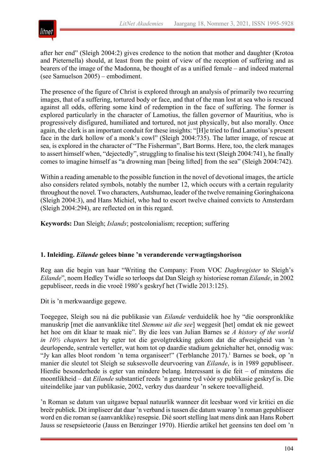

after her end" (Sleigh 2004:2) gives credence to the notion that mother and daughter (Krotoa and Pieternella) should, at least from the point of view of the reception of suffering and as bearers of the image of the Madonna, be thought of as a unified female – and indeed maternal (see Samuelson 2005) – embodiment.

The presence of the figure of Christ is explored through an analysis of primarily two recurring images, that of a suffering, tortured body or face, and that of the man lost at sea who is rescued against all odds, offering some kind of redemption in the face of suffering. The former is explored particularly in the character of Lamotius, the fallen governor of Mauritius, who is progressively disfigured, humiliated and tortured, not just physically, but also morally. Once again, the clerk is an important conduit for these insights: "[H]e tried to find Lamotius's present face in the dark hollow of a monk's cowl" (Sleigh 2004:735). The latter image, of rescue at sea, is explored in the character of "The Fisherman", Bart Borms. Here, too, the clerk manages to assert himself when, "dejectedly", struggling to finalise his text (Sleigh 2004:741), he finally comes to imagine himself as "a drowning man [being lifted] from the sea" (Sleigh 2004:742).

Within a reading amenable to the possible function in the novel of devotional images, the article also considers related symbols, notably the number 12, which occurs with a certain regularity throughout the novel. Two characters, Autshumao, leader of the twelve remaining Goringhaicona (Sleigh 2004:3), and Hans Michiel, who had to escort twelve chained convicts to Amsterdam (Sleigh 2004:294), are reflected on in this regard.

**Keywords:** Dan Sleigh; *Islands*; postcolonialism; reception; suffering

## **1. Inleiding.** *Eilande* **gelees binne 'n veranderende verwagtingshorison**

Reg aan die begin van haar "Writing the Company: From VOC *Daghregister* to Sleigh's *Eilande*", noem Hedley Twidle so terloops dat Dan Sleigh sy historiese roman *Eilande*, in 2002 gepubliseer, reeds in die vroeë 1980's geskryf het (Twidle 2013:125).

Dit is 'n merkwaardige gegewe.

Toegegee, Sleigh sou ná die publikasie van *Eilande* verduidelik hoe hy "die oorspronklike manuskrip [met die aanvanklike titel *Stemme uit die see*] weggesit [het] omdat ek nie geweet het hoe om dit klaar te maak nie". By die lees van Julian Barnes se *A history of the world in 10½ chapters* het hy egter tot die gevolgtrekking gekom dat die afwesigheid van 'n deurlopende, sentrale verteller, wat hom tot op daardie stadium gekniehalter het, onnodig was: "Jy kan alles bloot rondom 'n tema organiseer!" (Terblanche 2017).<sup>1</sup> Barnes se boek, op 'n manier die sleutel tot Sleigh se suksesvolle deurvoering van *Eilande*, is in 1989 gepubliseer. Hierdie besonderhede is egter van mindere belang. Interessant is die feit – of minstens die moontlikheid – dat *Eilande* substantief reeds 'n geruime tyd vóór sy publikasie geskryf is. Die uiteindelike jaar van publikasie, 2002, verkry dus daardeur 'n sekere toevalligheid.

'n Roman se datum van uitgawe bepaal natuurlik wanneer dit leesbaar word vir kritici en die breër publiek. Dit impliseer dat daar 'n verband is tussen die datum waarop 'n roman gepubliseer word en die roman se (aanvanklike) resepsie. Dié soort stelling laat mens dink aan Hans Robert Jauss se resepsieteorie (Jauss en Benzinger 1970). Hierdie artikel het geensins ten doel om 'n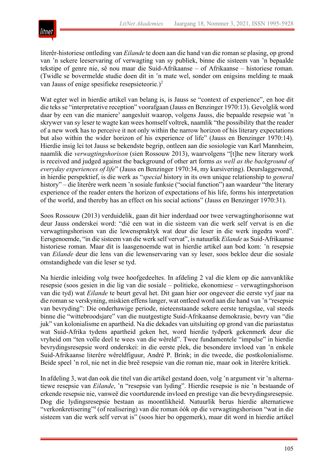

literêr-historiese ontleding van *Eilande* te doen aan die hand van die roman se plasing, op grond van 'n sekere leeservaring of verwagting van sy publiek, binne die sisteem van 'n bepaalde tekstipe of genre nie, sê nou maar die Suid-Afrikaanse – of Afrikaanse – historiese roman. (Twidle se bovermelde studie doen dit in 'n mate wel, sonder om enigsins melding te maak van Jauss of enige spesifieke resepsieteorie.)<sup>2</sup>

Wat egter wel in hierdie artikel van belang is, is Jauss se "context of experience", en hoe dit die teks se "interpretative reception" voorafgaan (Jauss en Benzinger 1970:13). Gevolglik word daar by een van die maniere<sup>3</sup> aangesluit waarop, volgens Jauss, die bepaalde resepsie wat 'n skrywer van sy leser te wagte kan wees homself voltrek, naamlik "the possibility that the reader of a new work has to perceive it not only within the narrow horizon of his literary expectations but also within the wider horizon of his experience of life" (Jauss en Benzinger 1970:14). Hierdie insig lei tot Jauss se bekendste begrip, ontleen aan die sosiologie van Karl Mannheim, naamlik die *verwagtingshorison* (sien Rossouw 2013), waarvolgens "[t]he new literary work is received and judged against the background of other art forms *as well as the background of everyday experiences of life*" (Jauss en Benzinger 1970:34, my kursivering). Deurslaggewend, in hierdie perspektief, is die werk as "*special* history in its own unique relationship to *general* history" – die literêre werk neem 'n sosiale funksie ("social function") aan waardeur "the literary experience of the reader enters the horizon of expectations of his life, forms his interpretation of the world, and thereby has an effect on his social actions" (Jauss en Benzinger 1970:31).

Soos Rossouw (2013) verduidelik, gaan dit hier inderdaad oor twee verwagtinghorisonne wat deur Jauss onderskei word: "dié een wat in die sisteem van die werk self vervat is en die verwagtingshorison van die lewenspraktyk wat deur die leser in die werk ingedra word". Eersgenoemde, "in die sisteem van die werk self vervat", is natuurlik *Eilande* as Suid-Afrikaanse historiese roman. Maar dit is laasgenoemde wat in hierdie artikel aan bod kom: 'n resepsie van *Eilande* deur die lens van die lewenservaring van sy leser, soos beklee deur die sosiale omstandighede van die leser se tyd.

Na hierdie inleiding volg twee hoofgedeeltes. In afdeling 2 val die klem op die aanvanklike resepsie (soos gesien in die lig van die sosiale – politieke, ekonomiese – verwagtingshorison van die tyd) wat *Eilande* te beurt geval het. Dit gaan hier oor ongeveer die eerste vyf jaar na die roman se verskyning, miskien effens langer, wat ontleed word aan die hand van 'n "resepsie van bevryding": Die onderhawige periode, nieteenstaande sekere eerste terugslae, val steeds binne die "wittebroodsjare" van die nuutgestigte Suid-Afrikaanse demokrasie, bevry van "die juk" van kolonialisme en apartheid. Na die dekades van uitsluiting op grond van die pariastatus wat Suid-Afrika tydens apartheid geken het, word hierdie tydperk gekenmerk deur die vryheid om "ten volle deel te wees van die wêreld". Twee fundamentele "impulse" in hierdie bevrydingsresepsie word onderskei: in die eerste plek, die besondere invloed van 'n enkele Suid-Afrikaanse literêre wêreldfiguur, André P. Brink; in die tweede, die postkolonialisme. Beide speel 'n rol, nie net in die breë resepsie van die roman nie, maar ook in literêre kritiek.

In afdeling 3, wat dan ook die titel van die artikel gestand doen, volg 'n argument vir 'n alternatiewe resepsie van *Eilande*, 'n "resepsie van lyding". Hierdie resepsie is nie 'n bestaande of erkende resepsie nie, vanweë die voortdurende invloed en prestige van die bevrydingsresepsie. Dog die lydingsresepsie bestaan as moontlikheid. Natuurlik berus hierdie alternatiewe "verkonkretisering"4 (of realisering) van die roman óók op die verwagtingshorison "wat in die sisteem van die werk self vervat is" (soos hier bo opgemerk), maar dit word in hierdie artikel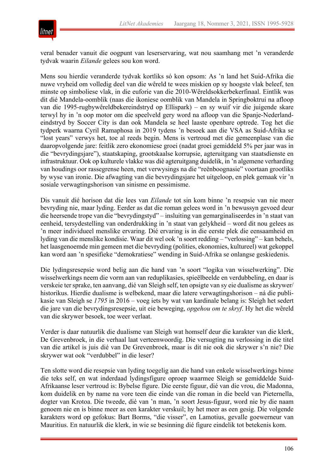

veral benader vanuit die oogpunt van leserservaring, wat nou saamhang met 'n veranderde tydvak waarin *Eilande* gelees sou kon word.

Mens sou hierdie veranderde tydvak kortliks só kon opsom: As 'n land het Suid-Afrika die nuwe vryheid om volledig deel van die wêreld te wees miskien op sy hoogste vlak beleef, ten minste op simboliese vlak, in die euforie van die 2010-Wêreldsokkerbekerfinaal. Eintlik was dit dié Mandela-oomblik (naas die ikoniese oomblik van Mandela in Springboktrui na afloop van die 1995-rugbywêreldbekereindstryd op Ellispark) – en sy wuif vir die juigende skare terwyl hy in 'n oop motor om die speelveld gery word na afloop van die Spanje-Nederlandeindstryd by Soccer City is dan ook Mandela se heel laaste openbare optrede. Tog het die tydperk waarna Cyril Ramaphosa in 2019 tydens 'n besoek aan die VSA as Suid-Afrika se "lost years" verwys het, toe al reeds begin. Mens is vertroud met die gemeenplase van die daaropvolgende jare: feitlik zero ekonomiese groei (nadat groei gemiddeld 5% per jaar was in die "bevrydingsjare"), staatskaping, grootskaalse korrupsie, agteruitgang van staatsdienste en infrastruktuur. Ook op kulturele vlakke was dié agteruitgang duidelik, in 'n algemene verharding van houdings oor rassegrense heen, met verwysings na die "reënboognasie" voortaan grootliks by wyse van ironie. Die afwagting van die bevrydingsjare het uitgeloop, en plek gemaak vir 'n sosiale verwagtingshorison van sinisme en pessimisme.

Dis vanuit dié horison dat die lees van *Eilande* tot sin kom binne 'n resepsie van nie meer bevryding nie, maar lyding. Eerder as dat die roman gelees word in 'n bewussyn gevoed deur die heersende trope van die "bevrydingstyd" – insluiting van gemarginaliseerdes in 'n staat van eenheid, tersydestelling van onderdrukking in 'n staat van gelykheid – word dit nou gelees as 'n meer individueel menslike ervaring. Dié ervaring is in die eerste plek die eensaamheid en lyding van die menslike kondisie. Waar dit wel ook 'n soort redding – "verlossing" – kan behels, het laasgenoemde min gemeen met die bevryding (polities, ekonomies, kultureel) wat gekoppel kan word aan 'n spesifieke "demokratiese" wending in Suid-Afrika se onlangse geskiedenis.

Die lydingsresepsie word belig aan die hand van 'n soort "logika van wisselwerking". Die wisselwerkings neem die vorm aan van reduplikasies, spieëlbeelde en verdubbeling, en daar is verskeie ter sprake, ten aanvang, dié van Sleigh self, ten opsigte van sy eie dualisme as skrywer/ historikus. Hierdie dualisme is welbekend, maar die latere verwagtingshorison – ná die publikasie van Sleigh se *1795* in 2016 – voeg iets by wat van kardinale belang is: Sleigh het sedert die jare van die bevrydingsresepsie, uit eie beweging, *opgehou om te skryf*. Hy het die wêreld van die skrywer besoek, toe weer verlaat.

Verder is daar natuurlik die dualisme van Sleigh wat homself deur die karakter van die klerk, De Grevenbroek, in die verhaal laat verteenwoordig. Die versugting na verlossing in die titel van die artikel is juis dié van De Grevenbroek, maar is dit nie ook die skrywer s'n nie? Die skrywer wat ook "verdubbel" in die leser?

Ten slotte word die resepsie van lyding toegelig aan die hand van enkele wisselwerkings binne die teks self, en wat inderdaad lydingsfigure oproep waarmee Sleigh se gemiddelde Suid-Afrikaanse leser vertroud is: Bybelse figure. Die eerste figuur, dié van die vrou, die Madonna, kom duidelik en by name na vore teen die einde van die roman in die beeld van Pieternella, dogter van Krotoa. Die tweede, dié van 'n man, 'n soort Jesus-figuur, word nie by die naam genoem nie en is binne meer as een karakter verskuil; hy het meer as een gesig. Die volgende karakters word op gefokus: Bart Borms, "die visser", en Lamotius, gevalle goewerneur van Mauritius. En natuurlik die klerk, in wie se besinning dié figure eindelik tot betekenis kom.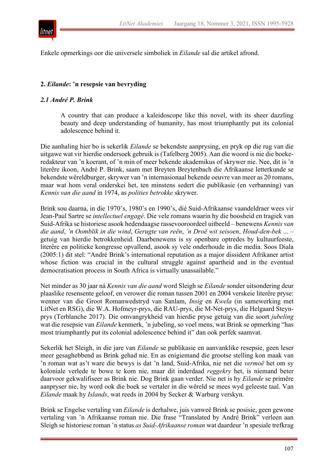

Enkele opmerkings oor die universele simboliek in *Eilande* sal die artikel afrond.

## **2.** *Eilande***: 'n resepsie van bevryding**

#### *2.1 André P. Brink*

A country that can produce a kaleidoscope like this novel, with its sheer dazzling beauty and deep understanding of humanity, has most triumphantly put its colonial adolescence behind it.

Die aanhaling hier bo is sekerlik *Eilande* se bekendste aanprysing, en pryk op die rug van die uitgawe wat vir hierdie ondersoek gebruik is (Tafelberg 2005). Aan die woord is nie die boekeredakteur van 'n koerant, of 'n min of meer bekende akademikus of skrywer nie. Nee, dit is 'n literêre ikoon, André P. Brink, saam met Breyten Breytenbach die Afrikaanse letterkunde se bekendste wêreldburger, skrywer van 'n internasionaal bekende oeuvre van meer as 20 romans, maar wat hom veral onderskei het, ten minstens sedert die publikasie (en verbanning) van *Kennis van die aand* in 1974, as *polities betrokke* skrywer.

Brink sou daarna, in die 1970's, 1980's en 1990's, dié Suid-Afrikaanse vaandeldraer wees vir Jean-Paul Sartre se *intellectuel engagé*. Die vele romans waarin hy die boosheid en tragiek van Suid-Afrika se historiese asook hedendaagse rassevooroordeel uitbeeld – benewens *Kennis van die aand*, *'n Oomblik in die wind*, *Gerugte van reën*, *'n Droë wit seisoen*, *Houd-den-bek* ... – getuig van hierdie betrokkenheid. Daarbenewens is sy openbare optredes by kultuurfeeste, literêre en politieke kongresse opvallend, asook sy vele onderhoude in die media. Soos Diala (2005:1) dit stel: "André Brink's international reputation as a major dissident Afrikaner artist whose fiction was crucial in the cultural struggle against apartheid and in the eventual democratisation process in South Africa is virtually unassailable."

Net minder as 30 jaar ná *Kennis van die aand* word Sleigh se *Eilande* sonder uitsondering deur plaaslike resensente geloof, en verower die roman tussen 2001 en 2004 verskeie literêre pryse: wenner van die Groot Romanwedstryd van Sanlam, *Insig* en *Kwela* (in samewerking met LitNet en RSG), die W.A. Hofmeyr-prys, die RAU-prys, die M-Net-prys, die Helgaard Steynprys (Terblanche 2017). Die omvangrykheid van hierdie pryse getuig van die soort *jubeling*  wat die resepsie van *Eilande* kenmerk, 'n jubeling, so voel mens, wat Brink se opmerking "has most triumphantly put its colonial adolescence behind it" dan ook perfek saamvat.

Sekerlik het Sleigh, in die jare van *Eilande* se publikasie en aanvanklike resepsie, geen leser meer gesaghebbend as Brink gehad nie. En as enigiemand die grootse stelling kon maak van 'n roman wat as't ware die bewys is dat 'n land, Suid-Afrika, nie net die *vermoë* het om sy koloniale verlede te bowe te kom nie, maar dit inderdaad *reggekry* het, is niemand beter daarvoor gekwalifiseer as Brink nie. Dog Brink gaan verder. Nie net is hy *Eilande* se primêre aanpryser nie, hy word ook die boek se vertaler in die wêreld se mees wyd geleeste taal. Van *Eilande* maak hy *Islands*, wat reeds in 2004 by Secker & Warburg verskyn.

Brink se Engelse vertaling van *Eilande* is derhalwe, juis vanweë Brink se posisie, geen gewone vertaling van 'n Afrikaanse roman nie. Die frase "Translated by André Brink" verleen aan Sleigh se historiese roman 'n status *as Suid-Afrikaanse roman* wat daardeur 'n spesiale trefkrag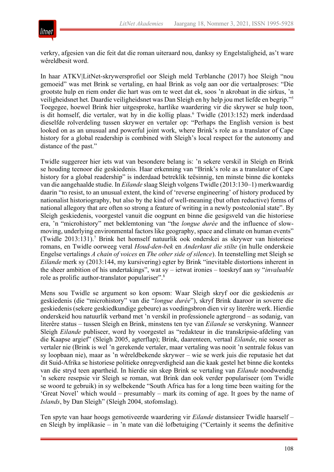

verkry, afgesien van die feit dat die roman uiteraard nou, danksy sy Engelstaligheid, as't ware wêreldbesit word.

In haar ATKV|LitNet-skrywersprofiel oor Sleigh meld Terblanche (2017) hoe Sleigh "nou gemoeid" was met Brink se vertaling, en haal Brink as volg aan oor die vertaalproses: "Die grootste hulp en riem onder die hart was om te weet dat ek, soos 'n akrobaat in die sirkus, 'n veiligheidsnet het. Daardie veiligheidsnet was Dan Sleigh en hy help jou met liefde en begrip."5 Toegegee, hoewel Brink hier uitgesproke, hartlike waardering vir die skrywer se hulp toon, is dit homself, die vertaler, wat hy in die kollig plaas.<sup>6</sup> Twidle (2013:152) merk inderdaad dieselfde rolverdeling tussen skrywer en vertaler op: "Perhaps the English version is best looked on as an unusual and powerful joint work, where Brink's role as a translator of Cape history for a global readership is combined with Sleigh's local respect for the autonomy and distance of the past."

Twidle suggereer hier iets wat van besondere belang is: 'n sekere verskil in Sleigh en Brink se houding teenoor die geskiedenis. Haar erkenning van "Brink's role as a translator of Cape history for a global readership" is inderdaad betreklik teësinnig, ten minste binne die konteks van die aangehaalde studie. In *Eilande* slaag Sleigh volgens Twidle (2013:130–1) merkwaardig daarin "to resist, to an unusual extent, the kind of 'reverse engineering' of history produced by nationalist historiography, but also by the kind of well-meaning (but often reductive) forms of national allegory that are often so strong a feature of writing in a newly postcolonial state". By Sleigh geskiedenis, voorgestel vanuit die oogpunt en binne die gesigsveld van die historiese era, 'n "microhistory" met beklemtoning van "the *longue durée* and the influence of slowmoving, underlying environmental factors like geography, space and climate on human events" (Twidle 2013:131).7 Brink het homself natuurlik ook onderskei as skrywer van historiese romans, en Twidle oorweeg veral *Houd-den-bek* en *Anderkant die stilte* (in hulle onderskeie Engelse vertalings *A chain of voices* en *The other side of silence*). In teenstelling met Sleigh se *Eilande* merk sy (2013:144, my kursivering) egter by Brink "inevitable distortions inherent in the sheer ambition of his undertakings", wat sy – ietwat ironies – toeskryf aan sy "*invaluable* role as prolific author-translator populariser".8

Mens sou Twidle se argument so kon opsom: Waar Sleigh skryf oor die geskiedenis *as* geskiedenis (die "microhistory" van die "*longue durée*"), skryf Brink daaroor in soverre die geskiedenis (sekere geskiedkundige gebeure) as voedingsbron dien vir sy literêre werk. Hierdie onderskeid hou natuurlik verband met 'n verskil in professionele agtergrond – as sodanig, van literêre status – tussen Sleigh en Brink, minstens ten tye van *Eilande* se verskyning. Wanneer Sleigh *Eilande* publiseer, word hy voorgestel as "redakteur in die transkripsie-afdeling van die Kaapse argief" (Sleigh 2005, agterflap); Brink, daarenteen, vertaal *Eilande*, nie soseer as vertaler nie (Brink is wel 'n gerekende vertaler, maar vertaling was nooit 'n sentrale fokus van sy loopbaan nie), maar as 'n wêreldbekende skrywer – wie se werk juis die reputasie het dat dit Suid-Afrika se historiese politieke onregverdigheid aan die kaak gestel het binne die konteks van die stryd teen apartheid. In hierdie sin skep Brink se vertaling van *Eilande* noodwendig 'n sekere resepsie vir Sleigh se roman, wat Brink dan ook verder populariseer (om Twidle se woord te gebruik) in sy welbekende "South Africa has for a long time been waiting for the 'Great Novel' which would – presumably – mark its coming of age. It goes by the name of *Islands*, by Dan Sleigh" (Sleigh 2004, stofomslag).

Ten spyte van haar hoogs gemotiveerde waardering vir *Eilande* distansieer Twidle haarself – en Sleigh by implikasie – in 'n mate van dié lofbetuiging ("Certainly it seems the definitive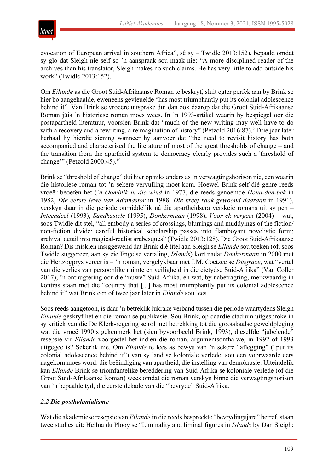

evocation of European arrival in southern Africa", sê sy – Twidle 2013:152), bepaald omdat sy glo dat Sleigh nie self so 'n aanspraak sou maak nie: "A more disciplined reader of the archives than his translator, Sleigh makes no such claims. He has very little to add outside his work" (Twidle 2013:152).

Om *Eilande* as die Groot Suid-Afrikaanse Roman te beskryf, sluit egter perfek aan by Brink se hier bo aangehaalde, eweneens gevleuelde "has most triumphantly put its colonial adolescence behind it". Van Brink se vroeëre uitsprake dui dan ook daarop dat die Groot Suid-Afrikaanse Roman júis 'n historiese roman moes wees. In 'n 1993-artikel waarin hy bespiegel oor die postapartheid literatuur, voorsien Brink dat "much of the new writing may well have to do with a recovery and a rewriting, a reimagination of history" (Petzold 2016:87).<sup>9</sup> Drie jaar later herhaal hy hierdie siening wanneer hy aanvoer dat "the need to revisit history has both accompanied and characterised the literature of most of the great thresholds of change – and the transition from the apartheid system to democracy clearly provides such a 'threshold of change"" (Petzold 2000:45).<sup>10</sup>

Brink se "threshold of change" dui hier op niks anders as 'n verwagtingshorison nie, een waarin die historiese roman tot 'n sekere vervulling moet kom. Hoewel Brink self dié genre reeds vroeër beoefen het (*'n Oomblik in die wind* in 1977, die reeds genoemde *Houd-den-bek* in 1982, *Die eerste lewe van Adamastor* in 1988, *Die kreef raak gewoond daaraan* in 1991), verskyn daar in die periode onmiddellik ná die apartheidsera verskeie romans uit sy pen – *Inteendeel* (1993), *Sandkastele* (1995), *Donkermaan* (1998), *Voor ek vergeet* (2004) – wat, soos Twidle dit stel, "all embody a series of crossings, blurrings and muddyings of the fiction/ non-fiction divide: careful historical scholarship passes into flamboyant novelistic form; archival detail into magical-realist arabesques" (Twidle 2013:128). Die Groot Suid-Afrikaanse Roman? Dis miskien insiggewend dat Brink dié titel aan Sleigh se *Eilande* sou toeken (of, soos Twidle suggereer, aan sy eie Engelse vertaling, *Islands*) kort nadat *Donkermaan* in 2000 met die Hertzogprys vereer is – 'n roman, vergelykbaar met J.M. Coetzee se *Disgrace*, wat "vertel van die verlies van persoonlike ruimte en veiligheid in die eietydse Suid-Afrika" (Van Coller 2017); 'n ontnugtering oor die "nuwe" Suid-Afrika, en wat, by nabetragting, merkwaardig in kontras staan met die "country that [...] has most triumphantly put its colonial adolescence behind it" wat Brink een of twee jaar later in *Eilande* sou lees.

Soos reeds aangetoon, is daar 'n betreklik lukrake verband tussen die periode waartydens Sleigh *Eilande* geskryf het en die roman se publikasie. Sou Brink, op daardie stadium uitgesproke in sy kritiek van die De Klerk-regering se rol met betrekking tot die grootskaalse geweldpleging wat die vroeë 1990's gekenmerk het (sien byvoorbeeld Brink, 1993), dieselfde "jubelende" resepsie vir *Eilande* voorgestel het indien die roman, argumentsonthalwe, in 1992 of 1993 uitgegee is? Sekerlik nie. Om *Eilande* te lees as bewys van 'n sekere "aflegging" ("put its colonial adolescence behind it") van sy land se koloniale verlede, sou een voorwaarde eers nagekom moes word: die beëindiging van apartheid, die instelling van demokrasie. Uiteindelik kan *Eilande* Brink se triomfantelike bereddering van Suid-Afrika se koloniale verlede (of die Groot Suid-Afrikaanse Roman) wees omdat die roman verskyn binne die verwagtingshorison van 'n bepaalde tyd, die eerste dekade van die "bevryde" Suid-Afrika.

## *2.2 Die postkolonialisme*

Wat die akademiese resepsie van *Eilande* in die reeds bespreekte "bevrydingsjare" betref, staan twee studies uit: Heilna du Plooy se "Liminality and liminal figures in *Islands* by Dan Sleigh: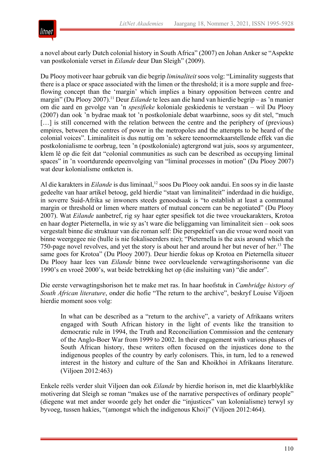

a novel about early Dutch colonial history in South Africa" (2007) en Johan Anker se "Aspekte van postkoloniale verset in *Eilande* deur Dan Sleigh" (2009).

Du Plooy motiveer haar gebruik van die begrip *liminaliteit* soos volg: "Liminality suggests that there is a place or space associated with the limen or the threshold; it is a more supple and freeflowing concept than the 'margin' which implies a binary opposition between centre and margin" (Du Plooy 2007).<sup>11</sup> Deur *Eilande* te lees aan die hand van hierdie begrip – as 'n manier om die aard en gevolge van 'n *spesifieke* koloniale geskiedenis te verstaan – wil Du Plooy (2007) dan ook 'n bydrae maak tot 'n postkoloniale debat waarbinne, soos sy dit stel, "much [...] is still concerned with the relation between the centre and the periphery of (previous) empires, between the centres of power in the metropoles and the attempts to be heard of the colonial voices". Liminaliteit is dus nuttig om 'n sekere teenoormekaarstellende effek van die postkolonialisme te oorbrug, teen 'n (postkoloniale) agtergrond wat juis, soos sy argumenteer, klem lê op die feit dat "colonial communities as such can be described as occupying liminal spaces" in 'n voortdurende opeenvolging van "liminal processes in motion" (Du Plooy 2007) wat deur kolonialisme ontketen is.

Al die karakters in *Eilande* is dus liminaal,<sup>12</sup> soos Du Plooy ook aandui. En soos sy in die laaste gedeelte van haar artikel betoog, geld hierdie "staat van liminaliteit" inderdaad in die huidige, in soverre Suid-Afrika se inwoners steeds genoodsaak is "to establish at least a communal margin or threshold or limen where matters of mutual concern can be negotiated" (Du Plooy 2007). Wat *Eilande* aanbetref, rig sy haar egter spesifiek tot die twee vrouekarakters, Krotoa en haar dogter Pieternella, in wie sy as't ware die beliggaming van liminaliteit sien – ook soos vergestalt binne die struktuur van die roman self: Die perspektief van die vroue word nooit van binne weergegee nie (hulle is nie fokaliseerders nie); "Pieternella is the axis around which the 750-page novel revolves, and yet the story is about her and around her but never of her.13 The same goes for Krotoa" (Du Plooy 2007). Deur hierdie fokus op Krotoa en Pieternella situeer Du Plooy haar lees van *Eilande* binne twee oorvleuelende verwagtingshorisonne van die 1990's en vroeë 2000's, wat beide betrekking het op (die insluiting van) "die ander".

Die eerste verwagtingshorison het te make met ras. In haar hoofstuk in *Cambridge history of South African literature*, onder die hofie "The return to the archive", beskryf Louise Viljoen hierdie moment soos volg:

In what can be described as a "return to the archive", a variety of Afrikaans writers engaged with South African history in the light of events like the transition to democratic rule in 1994, the Truth and Reconciliation Commission and the centenary of the Anglo-Boer War from 1999 to 2002. In their engagement with various phases of South African history, these writers often focused on the injustices done to the indigenous peoples of the country by early colonisers. This, in turn, led to a renewed interest in the history and culture of the San and Khoikhoi in Afrikaans literature. (Viljoen 2012:463)

Enkele reëls verder sluit Viljoen dan ook *Eilande* by hierdie horison in, met die klaarblyklike motivering dat Sleigh se roman "makes use of the narrative perspectives of ordinary people" (diegene wat met ander woorde gely het onder die "injustices" van kolonialisme) terwyl sy byvoeg, tussen hakies, "(amongst which the indigenous Khoi)" (Viljoen 2012:464).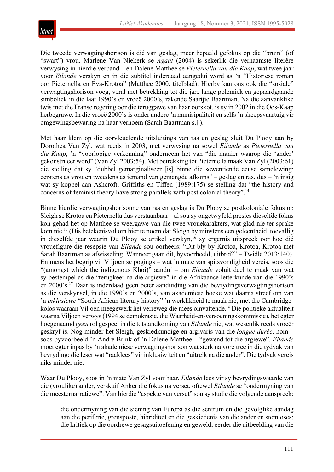

Die tweede verwagtingshorison is dié van geslag, meer bepaald gefokus op die "bruin" (of "swart") vrou. Marlene Van Niekerk se *Agaat* (2004) is sekerlik die vernaamste literêre verwysing in hierdie verband – en Dalene Matthee se *Pieternella van die Kaap*, wat twee jaar voor *Eilande* verskyn en in die subtitel inderdaad aangedui word as 'n "Historiese roman oor Pieternella en Eva-Krotoa" (Matthee 2000, titelblad). Hierby kan ons ook die "sosiale" verwagtingshorison voeg, veral met betrekking tot die jare lange polemiek en gepaardgaande simboliek in die laat 1990's en vroeë 2000's, rakende Saartjie Baartman. Na die aanvanklike twis met die Franse regering oor die teruggawe van haar oorskot, is sy in 2002 in die Oos-Kaap herbegrawe. In die vroeë 2000's is onder andere 'n munisipaliteit en selfs 'n skeepsvaartuig vir omgewingsbewaring na haar vernoem (Sarah Baartman s.j.).

Met haar klem op die oorvleuelende uitsluitings van ras en geslag sluit Du Plooy aan by Dorothea Van Zyl, wat reeds in 2003, met verwysing na sowel *Eilande* as *Pieternella van die Kaap*, 'n "voorlopige verkenning" onderneem het van "die manier waarop die 'ander' gekonstrueer word" (Van Zyl 2003:54). Met betrekking tot Pieternella maak Van Zyl (2003:61) die stelling dat sy "dubbel gemarginaliseer [is] binne die sewentiende eeuse samelewing: eerstens as vrou en tweedens as iemand van gemengde afkoms" – geslag en ras, dus – 'n insig wat sy koppel aan Ashcroft, Griffiths en Tiffen (1989:175) se stelling dat "the history and concerns of feminist theory have strong parallels with post colonial theory".<sup>14</sup>

Binne hierdie verwagtingshorisonne van ras en geslag is Du Plooy se postkoloniale fokus op Sleigh se Krotoa en Pieternella dus verstaanbaar – al sou sy ongetwyfeld presies dieselfde fokus kon gehad het op Matthee se weergawe van die twee vrouekarakters, wat glad nie ter sprake kom nie.<sup>15</sup> (Dis betekenisvol om hier te noem dat Sleigh by minstens een geleentheid, toevallig in dieselfde jaar waarin Du Plooy se artikel verskyn,<sup>16</sup> sy ergernis uitspreek oor hoe dié vrouefigure die resepsie van *Eilande* sou oorheers: "Dit bly by Krotoa, Krotoa, Krotoa met Sarah Baartman as afwisseling. Wanneer gaan dit, byvoorbeeld, uitbrei?" – Twidle 2013:140). En mens het begrip vir Viljoen se pogings – wat 'n mate van spitsvondigheid vereis, soos die "(amongst which the indigenous Khoi)" aandui – om *Eilande* voluit deel te maak van wat sy bestempel as die "terugkeer na die argiewe" in die Afrikaanse letterkunde van die 1990's en 2000's.17 Daar is inderdaad geen beter aanduiding van die bevrydingsverwagtingshorison as die verskynsel, in die 1990's en 2000's, van akademiese boeke wat daarna streef om van 'n *inklusiewe* "South African literary history" 'n werklikheid te maak nie, met die Cambridgekolos waaraan Viljoen meegewerk het verreweg die mees omvattende.<sup>18</sup> Die politieke aktualiteit waarna Viljoen verwys (1994 se demokrasie, die Waarheid-en-versoeningskommissie), het egter hoegenaamd *geen* rol gespeel in die totstandkoming van *Eilande* nie, wat wesenlik reeds vroeër geskryf is. Nog minder het Sleigh, geskiedkundige en argivaris van die *longue durée*, hom – soos byvoorbeeld 'n André Brink of 'n Dalene Matthee – "gewend tot die argiewe". *Eilande* moet egter inpas by 'n akademiese verwagtingshorison wat sterk na vore tree in die tydvak van bevryding: die leser wat "raaklees" vir inklusiwiteit en "uitreik na die ander". Die tydvak vereis niks minder nie.

Waar Du Plooy, soos in 'n mate Van Zyl voor haar, *Eilande* lees vir sy bevrydingswaarde van die (vroulike) ander, verskuif Anker die fokus na verset, oftewel *Eilande* se "ondermyning van die meesternarratiewe". Van hierdie "aspekte van verset" sou sy studie die volgende aanspreek:

die ondermyning van die siening van Europa as die sentrum en die gevolglike aandag aan die periferie, grensposte, hibriditeit en die geskiedenis van die ander en stemloses; die kritiek op die oordrewe gesagsuitoefening en geweld; eerder die uitbeelding van die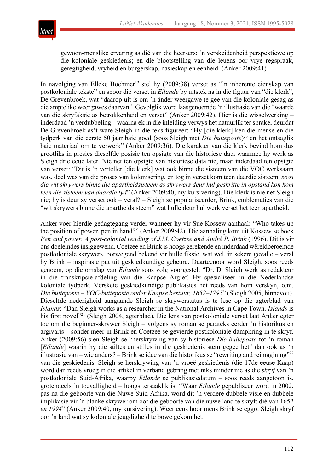

gewoon-menslike ervaring as dié van die heersers; 'n verskeidenheid perspektiewe op die koloniale geskiedenis; en die blootstelling van die leuens oor vrye regspraak, geregtigheid, vryheid en burgerskap, nasieskap en eenheid. (Anker 2009:41)

In navolging van Elleke Boehmer<sup>19</sup> stel hy (2009:38) verset as "'n inherente eienskap van postkoloniale tekste" en spoor dié verset in *Eilande* by uitstek na in die figuur van "die klerk", De Grevenbroek, wat "daarop uit is om 'n ánder weergawe te gee van die koloniale gesag as die amptelike weergawes daarvan". Gevolglik word laasgenoemde 'n illustrasie van die "waarde van die skryfaksie as betrokkenheid en verset" (Anker 2009:42). Hier is die wisselwerking – inderdaad 'n verdubbeling – waarna ek in die inleiding verwys het natuurlik ter sprake, deurdat De Grevenbroek as't ware Sleigh in die teks figureer: "Hy [die klerk] ken die mense en die tydperk van die eerste 50 jaar baie goed (soos Sleigh met *Die buiteposte*) <sup>20</sup> en het ontsaglik baie materiaal om te verwerk" (Anker 2009:36). Die karakter van die klerk bevind hom dus grootliks in presies dieselfde posisie ten opsigte van die historiese data waarmee hy werk as Sleigh drie eeue later. Nie net ten opsigte van historiese data nie, maar inderdaad ten opsigte van verset: "Dit is 'n verteller [die klerk] wat ook binne die sisteem van die VOC werksaam was, deel was van die proses van kolonisering, en tog in verset kom teen daardie sisteem, *soos die wit skrywers binne die apartheidsisteem as skrywers deur hul geskrifte in opstand kon kom teen die sisteem van daardie tyd*" (Anker 2009:40, my kursivering). Die klerk is nie net Sleigh nie; hy is deur sy verset ook – veral? – Sleigh se populariseerder, Brink, emblematies van die "wit skrywers binne die apartheidsisteem" wat hulle deur hul werk verset het teen apartheid.

Anker voer hierdie gedagtegang verder wanneer hy vir Sue Kossew aanhaal: "Who takes up the position of power, pen in hand?" (Anker 2009:42). Die aanhaling kom uit Kossew se boek *Pen and power. A post-colonial reading of J.M. Coetzee and André P. Brink* (1996). Dit is vir ons doeleindes insiggewend. Coetzee en Brink is hoogs gerekende en inderdaad wêreldberoemde postkoloniale skrywers, oorwegend bekend vir hulle fiksie, wat wel, in sekere gevalle – veral by Brink – inspirasie put uit geskiedkundige gebeure. Daarteenoor word Sleigh, soos reeds genoem, op die omslag van *Eilande* soos volg voorgestel: "Dr. D. Sleigh werk as redakteur in die transkripsie-afdeling van die Kaapse Argief. Hy spesialiseer in die Nederlandse koloniale tydperk. Verskeie geskiedkundige publikasies het reeds van hom verskyn, o.m. *Die buiteposte – VOC-buiteposte onder Kaapse bestuur, 1652–1795*" (Sleigh 2005, binnevou). Dieselfde nederigheid aangaande Sleigh se skrywerstatus is te lese op die agterblad van *Islands*: "Dan Sleigh works as a researcher in the National Archives in Cape Town. *Islands* is his first novel<sup>"21</sup> (Sleigh 2004, agterblad). Die lens van postkoloniale verset laat Anker egter toe om die beginner-skrywer Sleigh – volgens sy roman se parateks eerder 'n historikus en argivaris – sonder meer in Brink en Coetzee se gevierde postkoloniale dampkring in te skryf. Anker (2009:56) sien Sleigh se "herskrywing van sy historiese *Die buiteposte* tot 'n roman [*Eilande*] waarin hy die stiltes en stilles in die geskiedenis stem gegee het" dan ook as 'n illustrasie van – wie anders? – Brink se idee van die historikus se "rewriting and reimagining"<sup>22</sup> van die geskiedenis. Sleigh se herskrywing van 'n vroeë geskiedenis (die 17de-eeuse Kaap) word dan reeds vroeg in die artikel in verband gebring met niks minder nie as die *skryf* van 'n postkoloniale Suid-Afrika, waarby *Eilande* se publikasiedatum – soos reeds aangetoon is, grotendeels 'n toevalligheid – hoogs tersaaklik is: "Waar *Eilande* gepubliseer word in 2002, pas na die geboorte van die Nuwe Suid-Afrika, word dit 'n verdere dubbele visie en dubbele implikasie vir 'n blanke skrywer om oor die geboorte van die nuwe land te skryf: dié van 1652 *en 1994*" (Anker 2009:40, my kursivering). Weer eens hoor mens Brink se eggo: Sleigh skryf oor 'n land wat sy koloniale jeugdigheid te bowe gekom het.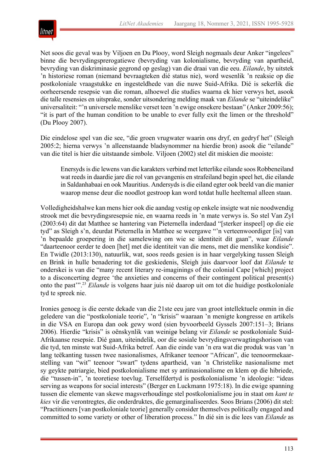

Net soos die geval was by Viljoen en Du Plooy, word Sleigh nogmaals deur Anker "ingelees" binne die bevrydingsprerogatiewe (bevryding van kolonialisme, bevryding van apartheid, bevryding van diskriminasie gegrond op geslag) van die draai van die eeu. *Eilande*, by uitstek 'n historiese roman (niemand bevraagteken dié status nie), word wesenlik 'n reaksie op die postkoloniale vraagstukke en ingesteldhede van die nuwe Suid-Afrika. Dié is sekerlik die oorheersende resepsie van die roman, alhoewel die studies waarna ek hier verwys het, asook die talle resensies en uitsprake, sonder uitsondering melding maak van *Eilande* se "uiteindelike" universaliteit: "'n universele menslike verset teen 'n ewige onsekere bestaan" (Anker 2009:56); "it is part of the human condition to be unable to ever fully exit the limen or the threshold" (Du Plooy 2007).

Die eindelose spel van die see, "die groen vrugwater waarin ons dryf, en gedryf het" (Sleigh 2005:2; hierna verwys 'n alleenstaande bladsynommer na hierdie bron) asook die "eilande" van die titel is hier die uitstaande simbole. Viljoen (2002) stel dit miskien die mooiste:

Enersyds is die lewens van die karakters verbind met letterlike eilande soos Robbeneiland wat reeds in daardie jare die rol van gevangenis en strafeiland begin speel het, die eilande in Saldanhabaai en ook Mauritius. Andersyds is die eiland egter ook beeld van die manier waarop mense deur die noodlot gestroop kan word totdat hulle heeltemal alleen staan.

Volledigheidshalwe kan mens hier ook die aandag vestig op enkele insigte wat nie noodwendig strook met die bevrydingsresepsie nie, en waarna reeds in 'n mate verwys is. So stel Van Zyl (2003:64) dit dat Matthee se hantering van Pieternella inderdaad "[sterker inspeel] op die eie tyd" as Sleigh s'n, deurdat Pieternella in Matthee se weergawe "'n verteenwoordiger [is] van 'n bepaalde groepering in die samelewing om wie se identiteit dit gaan", waar *Eilande* "daarteenoor eerder te doen [het] met die identiteit van die mens, met die menslike kondisie". En Twidle (2013:130), natuurlik, wat, soos reeds gesien is in haar vergelyking tussen Sleigh en Brink in hulle benadering tot die geskiedenis, Sleigh juis daarvoor loof dat *Eilande* te onderskei is van die "many recent literary re-imaginings of the colonial Cape [which] project to a disconcerting degree 'the anxieties and concerns of their contingent political present(s) onto the past'".23 *Eilande* is volgens haar juis nié daarop uit om tot die huidige postkoloniale tyd te spreek nie.

Ironies genoeg is die eerste dekade van die 21ste eeu jare van groot intellektuele onmin in die geledere van die "postkoloniale teorie", 'n "krisis" waaraan 'n menigte kongresse en artikels in die VSA en Europa dan ook gewy word (sien byvoorbeeld Gyssels 2007:151–3; Brians 2006). Hierdie "krisis" is oënskynlik van weinige belang vir *Eilande* se postkoloniale Suid-Afrikaanse resepsie. Dié gaan, uiteindelik, oor die sosiale bevrydingsverwagtingshorison van die tyd, ten minste wat Suid-Afrika betref. Aan die einde van 'n era wat die produk was van 'n lang teëkanting tussen twee nasionalismes, Afrikaner teenoor "African", die teenoormekaarstelling van "wit" teenoor "swart" tydens apartheid, van 'n Christelike nasionalisme met sy geykte patriargie, bied postkolonialisme met sy antinasionalisme en klem op die hibriede, die "tussen-in", 'n teoretiese toevlug. Terselfdertyd is postkolonialisme 'n ideologie: "ideas serving as weapons for social interests" (Berger en Luckmann 1975:18). In die ewige spanning tussen die elemente van skewe magsverhoudinge stel postkolonialisme jou in staat om *kant te kies* vir die verontregtes, die onderdruktes, die gemarginaliseerdes. Soos Brians (2006) dit stel: "Practitioners [van postkoloniale teorie] generally consider themselves politically engaged and committed to some variety or other of liberation process." In dié sin is die lees van *Eilande* as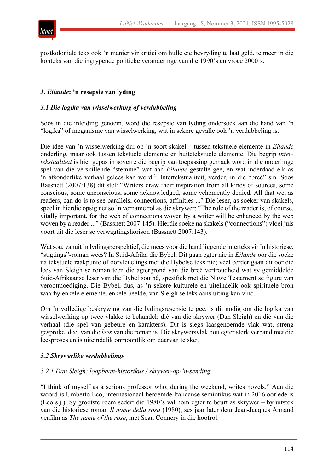

postkoloniale teks ook 'n manier vir kritici om hulle eie bevryding te laat geld, te meer in die konteks van die ingrypende politieke veranderinge van die 1990's en vroeë 2000's.

## **3.** *Eilande***: 'n resepsie van lyding**

## *3.1 Die logika van wisselwerking of verdubbeling*

Soos in die inleiding genoem, word die resepsie van lyding ondersoek aan die hand van 'n "logika" of meganisme van wisselwerking, wat in sekere gevalle ook 'n verdubbeling is.

Die idee van 'n wisselwerking dui op 'n soort skakel – tussen tekstuele elemente in *Eilande* onderling, maar ook tussen tekstuele elemente en buitetekstuele elemente. Die begrip *intertekstualiteit* is hier gepas in soverre die begrip van toepassing gemaak word in die onderlinge spel van die verskillende "stemme" wat aan *Eilande* gestalte gee, en wat inderdaad elk as 'n afsonderlike verhaal gelees kan word.<sup>24</sup> Intertekstualiteit, verder, in die "breë" sin. Soos Bassnett (2007:138) dit stel: "Writers draw their inspiration from all kinds of sources, some conscious, some unconscious, some acknowledged, some vehemently denied. All that we, as readers, can do is to see parallels, connections, affinities ..." Die leser, as soeker van skakels, speel in hierdie opsig net so 'n vername rol as die skrywer: "The role of the reader is, of course, vitally important, for the web of connections woven by a writer will be enhanced by the web woven by a reader ..." (Bassnett 2007:145). Hierdie soeke na skakels ("connections") vloei juis voort uit die leser se verwagtingshorison (Bassnett 2007:143).

Wat sou, vanuit 'n lydingsperspektief, die mees voor die hand liggende interteks vir 'n historiese, "stigtings"-roman wees? In Suid-Afrika die Bybel. Dit gaan egter nie in *Eilande* oor die soeke na tekstuele raakpunte of oorvleuelings met die Bybelse teks nie; veel eerder gaan dit oor die lees van Sleigh se roman teen die agtergrond van die breë vertroudheid wat sy gemiddelde Suid-Afrikaanse leser van die Bybel sou hê, spesifiek met die Nuwe Testament se figure van verootmoediging. Die Bybel, dus, as 'n sekere kulturele en uiteindelik ook spirituele bron waarby enkele elemente, enkele beelde, van Sleigh se teks aansluiting kan vind.

Om 'n volledige beskrywing van die lydingsresepsie te gee, is dit nodig om die logika van wisselwerking op twee vlakke te behandel: dié van die skrywer (Dan Sleigh) en dié van die verhaal (die spel van gebeure en karakters). Dit is slegs laasgenoemde vlak wat, streng gesproke, deel van die *lees* van die roman is. Die skrywersvlak hou egter sterk verband met die leesproses en is uiteindelik onmoontlik om daarvan te skei.

## *3.2 Skrywerlike verdubbelings*

#### *3.2.1 Dan Sleigh: loopbaan-historikus / skrywer-op-'n-sending*

"I think of myself as a serious professor who, during the weekend, writes novels." Aan die woord is Umberto Eco, internasionaal beroemde Italiaanse semiotikus wat in 2016 oorlede is (Eco s.j.). Sy grootste roem sedert die 1980's val hom egter te beurt as skrywer – by uitstek van die historiese roman *Il nome della rosa* (1980), ses jaar later deur Jean-Jacques Annaud verfilm as *The name of the rose*, met Sean Connery in die hoofrol.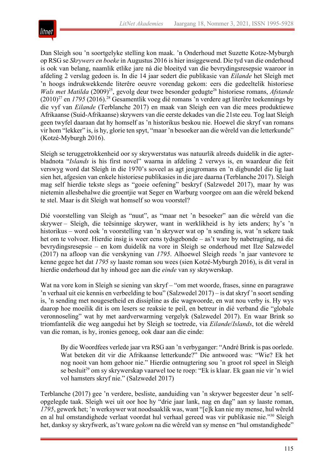

Dan Sleigh sou 'n soortgelyke stelling kon maak. 'n Onderhoud met Suzette Kotze-Myburgh op RSG se *Skrywers en boeke* in Augustus 2016 is hier insiggewend. Die tyd van die onderhoud is ook van belang, naamlik etlike jare ná die bloeityd van die bevrydingsresepsie waaroor in afdeling 2 verslag gedoen is. In die 14 jaar sedert die publikasie van *Eilande* het Sleigh met 'n hoogs indrukwekkende literêre oeuvre vorendag gekom: eers die gedeeltelik historiese *Wals met Matilda* (2009)<sup>25</sup>, gevolg deur twee besonder gedugte<sup>26</sup> historiese romans, *Afstande* (2010)27 en *1795* (2016).28 Gesamentlik voeg dié romans 'n verdere agt literêre toekennings by die vyf van *Eilande* (Terblanche 2017) en maak van Sleigh een van die mees produktiewe Afrikaanse (Suid-Afrikaanse) skrywers van die eerste dekades van die 21ste eeu. Tog laat Sleigh geen twyfel daaraan dat hy homself as 'n historikus beskou nie. Hoewel die skryf van romans vir hom "lekker" is, is hy, glorie ten spyt, "maar 'n besoeker aan die wêreld van die letterkunde" (Kotzé-Myburgh 2016).

Sleigh se teruggetrokkenheid oor sy skrywerstatus was natuurlik alreeds duidelik in die agterbladnota "*Islands* is his first novel" waarna in afdeling 2 verwys is, en waardeur die feit verswyg word dat Sleigh in die 1970's soveel as agt jeugromans en 'n digbundel die lig laat sien het, afgesien van enkele historiese publikasies in die jare daarna (Terblanche 2017). Sleigh mag self hierdie tekste slegs as "goeie oefening" beskryf (Salzwedel 2017), maar hy was nietemin allesbehalwe die groentjie wat Seger en Warburg voorgee om aan die wêreld bekend te stel. Maar is dit Sleigh wat homself so wou voorstel?

Dié voorstelling van Sleigh as "nuut", as "maar net 'n besoeker" aan die wêreld van die skrywer – Sleigh, die teësinnige skrywer, want in werklikheid is hy iets anders; hy's 'n historikus – word ook 'n voorstelling van 'n skrywer wat op 'n sending is, wat 'n sekere taak het om te volvoer. Hierdie insig is weer eens tydsgebonde – as't ware by nabetragting, ná die bevrydingsresepsie – en kom duidelik na vore in Sleigh se onderhoud met Ilze Salzwedel (2017) na afloop van die verskyning van *1795*. Alhoewel Sleigh reeds 'n jaar vantevore te kenne gegee het dat *1795* sy laaste roman sou wees (sien Kotzé-Myburgh 2016), is dit veral in hierdie onderhoud dat hy inhoud gee aan die *einde* van sy skrywerskap.

Wat na vore kom in Sleigh se siening van skryf – "om met woorde, frases, sinne en paragrawe 'n verhaal uit eie kennis en verbeelding te bou" (Salzwedel 2017) – is dat skryf 'n soort sending is, 'n sending met nougesetheid en dissipline as die wagwoorde, en wat nou verby is. Hy wys daarop hoe moeilik dit is om lesers se reaksie te peil, en betreur in dié verband die "globale veronnoseling" wat hy met aardverwarming vergelyk (Salzwedel 2017). En waar Brink so triomfantelik die weg aangedui het by Sleigh se toetrede, via *Eilande*/*Islands*, tot die wêreld van die roman, is hy, ironies genoeg, ook daar aan die einde:

By die Woordfees verlede jaar vra RSG aan 'n verbyganger: "André Brink is pas oorlede. Wat beteken dit vir die Afrikaanse letterkunde?" Die antwoord was: "Wie? Ek het nog nooit van hom gehoor nie." Hierdie ontnugtering sou 'n groot rol speel in Sleigh se besluit<sup>29</sup> om sy skrywerskap vaarwel toe te roep: "Ek is klaar. Ek gaan nie vir 'n wiel vol hamsters skryf nie." (Salzwedel 2017)

Terblanche (2017) gee 'n verdere, besliste, aanduiding van 'n skrywer begeester deur 'n selfopgelegde taak. Sleigh wei uit oor hoe hy "drie jaar lank, nag en dag" aan sy laaste roman, *1795*, gewerk het; 'n werksywer wat noodsaaklik was, want "[e]k kan nie my mense, hul wêreld en al hul omstandighede verlaat voordat hul verhaal gereed was vir publikasie nie."30 Sleigh het, danksy sy skryfwerk, as't ware *gekom* na die wêreld van sy mense en "hul omstandighede"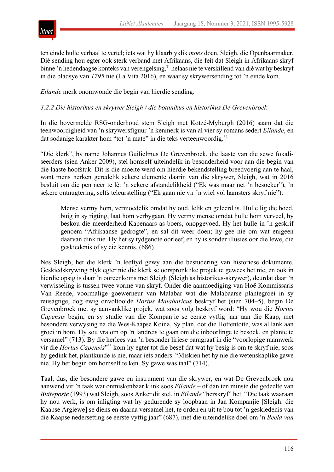

ten einde hulle verhaal te vertel; iets wat hy klaarblyklik *moes* doen. Sleigh, die Openbaarmaker. Dié sending hou egter ook sterk verband met Afrikaans, die feit dat Sleigh in Afrikaans skryf binne 'n hedendaagse konteks van verengelsing,<sup>31</sup> helaas nie te verskillend van dié wat hy beskryf in die bladsye van *1795* nie (La Vita 2016), en waar sy skrywersending tot 'n einde kom.

*Eilande* merk onomwonde die begin van hierdie sending.

## *3.2.2 Die historikus en skrywer Sleigh / die botanikus en historikus De Grevenbroek*

In die bovermelde RSG-onderhoud stem Sleigh met Kotzé-Myburgh (2016) saam dat die teenwoordigheid van 'n skrywersfiguur 'n kenmerk is van al vier sy romans sedert *Eilande*, en dat sodanige karakter hom "tot 'n mate" in die teks verteenwoordig.<sup>32</sup>

"Die klerk", by name Johannes Guilielmus De Grevenbroek, die laaste van die sewe fokaliseerders (sien Anker 2009), stel homself uiteindelik in besonderheid voor aan die begin van die laaste hoofstuk. Dit is die moeite werd om hierdie bekendstelling breedvoerig aan te haal, want mens herken geredelik sekere elemente daarin van die skrywer, Sleigh, wat in 2016 besluit om die pen neer te lê: 'n sekere afstandelikheid ("Ek was maar net 'n besoeker"), 'n sekere ontnugtering, selfs teleurstelling ("Ek gaan nie vir 'n wiel vol hamsters skryf nie"):

Mense vermy hom, vermoedelik omdat hy oud, lelik en geleerd is. Hulle lig die hoed, buig in sy rigting, laat hom verbygaan. Hy vermy mense omdat hulle hom verveel, hy beskou die meerderheid Kapenaars as boers, onopgevoed. Hy het hulle in 'n geskrif genoem "Afrikaanse gedrogte", en sal dit weer doen; hy gee nie om wat enigeen daarvan dink nie. Hy het sy tydgenote oorleef, en hy is sonder illusies oor die lewe, die geskiedenis of sy eie kennis. (686)

Nes Sleigh, het die klerk 'n leeftyd gewy aan die bestudering van historiese dokumente. Geskiedskrywing blyk egter nie die klerk se oorspronklike projek te gewees het nie, en ook in hierdie opsig is daar 'n ooreenkoms met Sleigh (Sleigh as historikus-skrywer), deurdat daar 'n verwisseling is tussen twee vorme van skryf. Onder die aanmoediging van Hoë Kommissaris Van Reede, voormalige goewerneur van Malabar wat die Malabaarse plantegroei in sy reusagtige, dog ewig onvoltooide *Hortus Malabaricus* beskryf het (sien 704–5), begin De Grevenbroek met sy aanvanklike projek, wat soos volg beskryf word: "Hy wou die *Hortus Capensis* begin, en sy studie van die Kompanjie se eerste vyftig jaar aan die Kaap, met besondere verwysing na die Wes-Kaapse Koina. Sy plan, oor die Hottentotte, was al lank aan groei in hom. Hy sou vra om op 'n landreis te gaan om die inboorlinge te besoek, en plante te versamel" (713). By die herlees van 'n besonder liriese paragraaf in die "voorlopige raamwerk vir die *Hortus Capensis*"33 kom hy egter tot die besef dat wat hy besig is om te skryf nie, soos hy gedink het, plantkunde is nie, maar iets anders. "Miskien het hy nie die wetenskaplike gawe nie. Hy het begin om homself te ken. Sy gawe was taal" (714).

Taal, dus, die besondere gawe en instrument van die skrywer, en wat De Grevenbroek nou aanwend vir 'n taak wat onmiskenbaar klink soos *Eilande* – of dan ten minste die gedeelte van *Buiteposte* (1993) wat Sleigh, soos Anker dit stel, in *Eilande* "herskryf" het. "Die taak waaraan hy nou werk, is om inligting wat hy gedurende sy loopbaan in Jan Kompanjie [Sleigh: die Kaapse Argiewe] se diens en daarna versamel het, te orden en uit te bou tot 'n geskiedenis van die Kaapse nedersetting se eerste vyftig jaar" (687), met die uiteindelike doel om 'n *Beeld van*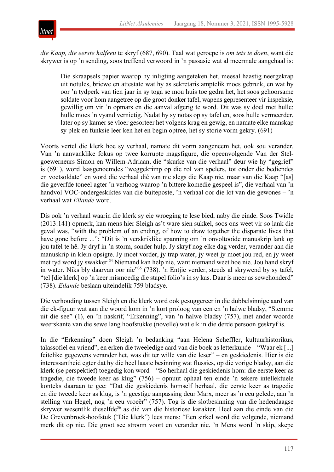

*die Kaap, die eerste halfeeu* te skryf (687, 690). Taal wat geroepe is *om iets te doen*, want die skrywer is op 'n sending, soos treffend verwoord in 'n passasie wat al meermale aangehaal is:

Die skraapsels papier waarop hy inligting aangeteken het, meesal haastig neergekrap uit notules, briewe en attestate wat hy as sekretaris amptelik moes gebruik, en wat hy oor 'n tydperk van tien jaar in sy toga se mou huis toe gedra het, het soos gehoorsame soldate voor hom aangetree op die groot donker tafel, wapens gepresenteer vir inspeksie, gewillig om vir 'n opmars en die aanval afgerig te word. Dit was sy doel met hulle: hulle moes 'n vyand vernietig. Nadat hy sy notas op sy tafel en, soos hulle vermeerder, later op sy kamer se vloer gesorteer het volgens krag en gewig, en namate elke manskap sy plek en funksie leer ken het en begin optree, het sy storie vorm gekry. (691)

Voorts vertel die klerk hoe sy verhaal, namate dit vorm aangeneem het, ook sou verander. Van 'n aanvanklike fokus op twee korrupte magsfigure, die opeenvolgende Van der Stelgoewerneurs Simon en Willem-Adriaan, die "skurke van die verhaal" deur wie hy "gegrief" is (691), word laasgenoemdes "weggekrimp op die rol van spelers, tot onder die bediendes en voetsoldate" en word die verhaal dié van nie slegs die Kaap nie, maar van die Kaap "[as] die geverfde toneel agter 'n verhoog waarop 'n bittere komedie gespeel is", die verhaal van 'n handvol VOC-ondergeskiktes van die buiteposte, 'n verhaal oor die lot van die gewones – 'n verhaal wat *Eilande* word.

Dis ook 'n verhaal waarin die klerk sy eie wroeging te lese bied, naby die einde. Soos Twidle (2013:141) opmerk, kan mens hier Sleigh as't ware sien sukkel, soos ons weet vir so lank die geval was, "with the problem of an ending, of how to draw together the disparate lives that have gone before ...": "Dit is 'n verskriklike spanning om 'n onvoltooide manuskrip lank op jou tafel te hê. Jy dryf in 'n storm, sonder hulp. Jy skryf nog elke dag verder, verander aan die manuskrip in klein opsigte. Jy moet vorder, jy trap water, jy weet jy moet jou red, en jy weet met tyd word jy swakker.<sup>34</sup> Niemand kan help nie, want niemand weet hoe nie. Jou hand skryf in water. Niks bly daarvan oor nie"35 (738). 'n Entjie verder, steeds al skrywend by sy tafel, "tel [die klerk] op 'n keer mismoedig die stapel folio's in sy kas. Daar is meer as sewehonderd" (738). *Eilande* beslaan uiteindelik 759 bladsye.

Die verhouding tussen Sleigh en die klerk word ook gesuggereer in die dubbelsinnige aard van die ek-figuur wat aan die woord kom in 'n kort proloog van een en 'n halwe bladsy, "Stemme uit die see" (1), en 'n naskrif, "Erkenning", van 'n halwe bladsy (757), met ander woorde weerskante van die sewe lang hoofstukke (novelle) wat elk in die derde persoon geskryf is.

In die "Erkenning" doen Sleigh 'n bedanking "aan Helena Scheffler, kultuurhistorikus, talassofiel en vriend", en erken die tweeledige aard van die boek as letterkunde – "Waar ek [...] feitelike gegewens verander het, was dit ter wille van die leser" – en geskiedenis. Hier is die interessantheid egter dat hy die heel laaste besinning wat flussies, op die vorige bladsy, aan die klerk (se perspektief) toegedig kon word – "So herhaal die geskiedenis hom: die eerste keer as tragedie, die tweede keer as klug" (756) – opnuut ophaal ten einde 'n sekere intellektuele konteks daaraan te gee: "Dat die geskiedenis homself herhaal, die eerste keer as tragedie en die tweede keer as klug, is 'n geestige aanpassing deur Marx, meer as 'n eeu gelede, aan 'n stelling van Hegel, nog 'n eeu vroeër" (757). Tog is die slotbesinning van die hedendaagse skrywer wesentlik dieselfde<sup>36</sup> as dié van die historiese karakter. Heel aan die einde van die De Grevenbroek-hoofstuk ("Die klerk") lees mens: "Een sirkel word die volgende, niemand merk dit op nie. Die groot see stroom voort en verander nie. 'n Mens word 'n skip, skepe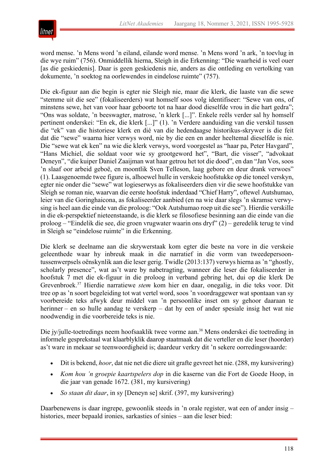

word mense. 'n Mens word 'n eiland, eilande word mense. 'n Mens word 'n ark, 'n toevlug in die wye ruim" (756). Onmiddellik hierna, Sleigh in die Erkenning: "Die waarheid is veel ouer [as die geskiedenis]. Daar is geen geskiedenis nie, anders as die ontleding en vertolking van dokumente, 'n soektog na oorlewendes in eindelose ruimte" (757).

Die ek-figuur aan die begin is egter nie Sleigh nie, maar die klerk, die laaste van die sewe "stemme uit die see" (fokaliseerders) wat homself soos volg identifiseer: "Sewe van ons, of minstens sewe, het van voor haar geboorte tot na haar dood dieselfde vrou in die hart gedra"; "Ons was soldate, 'n beeswagter, matrose, 'n klerk [...]". Enkele reëls verder sal hy homself pertinent onderskei: "En ek, die klerk [...]" (1). 'n Verdere aanduiding van die verskil tussen die "ek" van die historiese klerk en dié van die hedendaagse historikus-skrywer is die feit dat die "sewe" waarna hier verwys word, nie by die een en ander heeltemal dieselfde is nie. Die "sewe wat ek ken" na wie die klerk verwys, word voorgestel as "haar pa, Peter Havgard", "Hans Michiel, die soldaat voor wie sy grootgeword het", "Bart, die visser", "advokaat Deneyn", "die kuiper Daniel Zaaijman wat haar getrou het tot die dood", en dan "Jan Vos, soos 'n slaaf oor arbeid geboë, en moontlik Sven Telleson, laag gebore en deur drank verwoes" (1). Laasgenoemde twee figure is, alhoewel hulle in verskeie hoofstukke op die toneel verskyn, egter nie onder die "sewe" wat logieserwys as fokaliseerders dien vir die sewe hoofstukke van Sleigh se roman nie, waarvan die eerste hoofstuk inderdaad "Chief Harry", oftewel Autshumao, leier van die Goringhaicona, as fokaliseerder aanbied (en na wie daar slegs 'n skramse verwysing is heel aan die einde van die proloog: "Ook Autshumao roep uit die see"). Hierdie verskille in die ek-perspektief nieteenstaande, is die klerk se filosofiese besinning aan die einde van die proloog – "Eindelik die see, die groen vrugwater waarin ons dryf" (2) – geredelik terug te vind in Sleigh se "eindelose ruimte" in die Erkenning.

Die klerk se deelname aan die skrywerstaak kom egter die beste na vore in die verskeie geleenthede waar hy inbreuk maak in die narratief in die vorm van tweedepersoontussenwerpsels oënskynlik aan die leser gerig. Twidle (2013:137) verwys hierna as 'n "ghostly, scholarly presence", wat as't ware by nabetragting, wanneer die leser die fokaliseerder in hoofstuk 7 met die ek-figuur in die proloog in verband gebring het, dui op die klerk De Grevenbroek.37 Hierdie narratiewe *stem* kom hier en daar, onegalig, in die teks voor. Dit tree op as 'n soort begeleiding tot wat vertel word, soos 'n voordraggewer wat spontaan van sy voorbereide teks afwyk deur middel van 'n persoonlike inset om sy gehoor daaraan te herinner – en so hulle aandag te verskerp – dat hy een of ander spesiale insig het wat nie noodwendig in die voorbereide teks is nie.

Die jy/julle-toetredings neem hoofsaaklik twee vorme aan.<sup>38</sup> Mens onderskei die toetreding in informele gesprekstaal wat klaarblyklik daarop staatmaak dat die verteller en die leser (hoorder) as't ware in mekaar se teenwoordigheid is; daardeur verkry dit 'n sekere oorredingswaarde:

- Dit is bekend, *hoor*, dat nie net die diere uit grafte gevreet het nie. (288, my kursivering)
- *Kom hou 'n groepie kaartspelers dop* in die kaserne van die Fort de Goede Hoop, in die jaar van genade 1672. (381, my kursivering)
- *So staan dit daar*, in sy [Deneyn se] skrif. (397, my kursivering)

Daarbenewens is daar ingrepe, gewoonlik steeds in 'n orale register, wat een of ander insig – histories, meer bepaald ironies, sarkasties of sinies – aan die leser bied: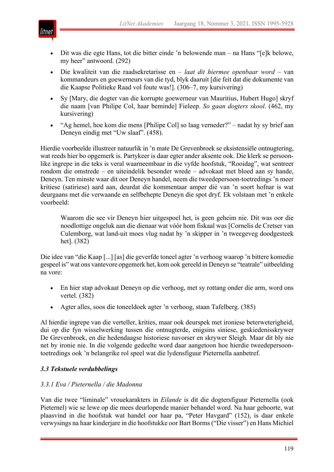

- Dit was die egte Hans, tot die bitter einde 'n belowende man na Hans "[e]k belowe, my heer" antwoord. (292)
- Die kwaliteit van die raadsekretarisse en *laat dit hiermee openbaar word* van kommandeurs en goewerneurs van die tyd, blyk daaruit [die feit dat die dokumente van die Kaapse Politieke Raad vol foute was!]. (306–7, my kursivering)
- Sy [Mary, die dogter van die korrupte goewerneur van Mauritius, Hubert Hugo] skryf die naam [van Philipe Col, haar beminde] Fieleep. *So gaan dogters skool*. (462, my kursivering)
- "Ag hemel, hoe kom die mens [Philipe Col] so laag verneder?" nadat hy sy brief aan Deneyn eindig met "Uw slaaf". (458).

Hierdie voorbeelde illustreer natuurlik in 'n mate De Grevenbroek se eksistensiële ontnugtering, wat reeds hier bo opgemerk is. Partykeer is daar egter ander aksente ook. Die klerk se persoonlike ingrepe in die teks is veral waarneembaar in die vyfde hoofstuk, "Rooidag", wat sentreer rondom die omstrede – en uiteindelik besonder wrede – advokaat met bloed aan sy hande, Deneyn. Ten minste waar dit oor Deneyn handel, neem die tweedepersoon-toetredings 'n meer kritiese (satiriese) aard aan, deurdat die kommentaar amper dié van 'n soort hofnar is wat deurgaans met die verwaande en selfbehepte Deneyn die spot dryf. Ek volstaan met 'n enkele voorbeeld:

Waarom die see vir Deneyn hier uitgespoel het, is geen geheim nie. Dit was oor die noodlottige ongeluk aan die dienaar wat vóór hom fiskaal was [Cornelis de Cretser van Culemborg, wat land-uit moes vlug nadat hy 'n skipper in 'n tweegeveg doodgesteek het]. (382)

Die idee van "die Kaap [...] [as] die geverfde toneel agter 'n verhoog waarop 'n bittere komedie gespeel is" wat ons vantevore opgemerk het, kom ook gereeld in Deneyn se "teatrale" uitbeelding na vore:

- En hier stap advokaat Deneyn op die verhoog, met sy rottang onder die arm, word ons vertel. (382)
- Agter alles, soos die toneeldoek agter 'n verhoog, staan Tafelberg. (385)

Al hierdie ingrepe van die verteller, krities, maar ook deurspek met ironiese beterweterigheid, dui op die fyn wisselwerking tussen die ontnugterde, enigsins siniese, geskiedenisskrywer De Grevenbroek, en die hedendaagse historiese navorser en skrywer Sleigh. Maar dit bly nie net by ironie nie. In die volgende gedeelte word daar aangetoon hoe hierdie tweedepersoontoetredings ook 'n belangrike rol speel wat die lydensfiguur Pieternella aanbetref.

## *3.3 Tekstuele verdubbelings*

## *3.3.1 Eva / Pieternella / die Madonna*

Van die twee "liminale" vrouekarakters in *Eilande* is dit die dogtersfiguur Pieternella (ook Pieternel) wie se lewe op die mees deurlopende manier behandel word. Na haar geboorte, wat plaasvind in die hoofstuk wat handel oor haar pa, "Peter Havgard" (152), is daar enkele verwysings na haar kinderjare in die hoofstukke oor Bart Borms ("Die visser") en Hans Michiel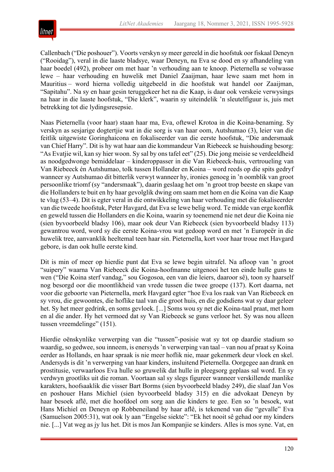

Callenbach ("Die poshouer"). Voorts verskyn sy meer gereeld in die hoofstuk oor fiskaal Deneyn ("Rooidag"), veral in die laaste bladsye, waar Deneyn, na Eva se dood en sy afhandeling van haar boedel (492), probeer om met haar 'n verhouding aan te knoop. Pieternella se volwasse lewe – haar verhouding en huwelik met Daniel Zaaijman, haar lewe saam met hom in Mauritius – word hierna volledig uitgebeeld in die hoofstuk wat handel oor Zaaijman, "Sapitahu". Na sy en haar gesin teruggekeer het na die Kaap, is daar ook verskeie verwysings na haar in die laaste hoofstuk, "Die klerk", waarin sy uiteindelik 'n sleutelfiguur is, juis met betrekking tot die lydingsresepsie.

Naas Pieternella (voor haar) staan haar ma, Eva, oftewel Krotoa in die Koina-benaming. Sy verskyn as sesjarige dogtertjie wat in die sorg is van haar oom, Autshumao (3), leier van die feitlik uitgewiste Goringhaicona en fokaliseerder van die eerste hoofstuk, "Die andersmaak van Chief Harry". Dit is hy wat haar aan die kommandeur Van Riebeeck se huishouding besorg: "As Evatjie wil, kan sy hier woon. Sy sal by ons tafel eet" (25). Die jong meisie se verdeeldheid as noodgedwonge bemiddelaar – kinderoppasser in die Van Riebeeck-huis, vertroueling van Van Riebeeck én Autshumao, tolk tussen Hollander en Koina – word reeds op die spits gedryf wanneer sy Autshumao dit bitterlik verwyt wanneer hy, ironies genoeg in 'n oomblik van groot persoonlike triomf (sy "andersmaak"), daarin geslaag het om 'n groot trop beeste en skape van die Hollanders te buit en hy haar gevolglik dwing om saam met hom en die Koina van die Kaap te vlug (53–4). Dit is egter veral in die ontwikkeling van haar verhouding met die fokaliseerder van die tweede hoofstuk, Peter Havgard, dat Eva se lewe belig word. Te midde van erge konflik en geweld tussen die Hollanders en die Koina, waarin sy toenemend nie net deur die Koina nie (sien byvoorbeeld bladsy 106), maar ook deur Van Riebeeck (sien byvoorbeeld bladsy 113) gewantrou word, word sy die eerste Koina-vrou wat gedoop word en met 'n Europeër in die huwelik tree, aanvanklik heeltemal teen haar sin. Pieternella, kort voor haar troue met Havgard gebore, is dan ook hulle eerste kind.

Dit is min of meer op hierdie punt dat Eva se lewe begin uitrafel. Na afloop van 'n groot "suipery" waarna Van Riebeeck die Koina-hoofmanne uitgenooi het ten einde hulle guns te wen ("Die Koina sterf vandag," sou Gogosoa, een van die leiers, daaroor sê), toon sy haarself nog besorgd oor die moontlikheid van vrede tussen die twee groepe (137). Kort daarna, net voor die geboorte van Pieternella, merk Havgard egter "hoe Eva los raak van Van Riebeeck en sy vrou, die gewoontes, die hoflike taal van die groot huis, en die godsdiens wat sy daar geleer het. Sy het meer gedrink, en soms gevloek. [...] Soms wou sy net die Koina-taal praat, met hom en al die ander. Hy het vermoed dat sy Van Riebeeck se guns verloor het. Sy was nou alleen tussen vreemdelinge" (151).

Hierdie oënskynlike verwerping van die "tussen"-posisie wat sy tot op daardie stadium so waardig, so gedwee, sou inneem, is enersyds 'n verwerping van taal – van nou af praat sy Koina eerder as Hollands, en haar spraak is nie meer hoflik nie, maar gekenmerk deur vloek en skel. Andersyds is dit 'n verwerping van haar kinders, insluitend Pieternella. Oorgegee aan drank en prostitusie, verwaarloos Eva hulle so gruwelik dat hulle in pleegsorg geplaas sal word. En sy verdwyn grootliks uit die roman. Voortaan sal sy slegs figureer wanneer verskillende manlike karakters, hoofsaaklik die visser Bart Borms (sien byvoorbeeld bladsy 249), die slaaf Jan Vos en poshouer Hans Michiel (sien byvoorbeeld bladsy 315) en die advokaat Deneyn by haar besoek aflê, met die hoofdoel om sorg aan die kinders te gee. Een so 'n besoek, wat Hans Michiel en Deneyn op Robbeneiland by haar aflê, is tekenend van die "gevalle" Eva (Samuelson 2005:31), wat ook ly aan "Engelse siekte": "Ek het nooit sê gehad oor my kinders nie. [...] Vat weg as jy lus het. Dit is mos Jan Kompanjie se kinders. Alles is mos syne. Vat, en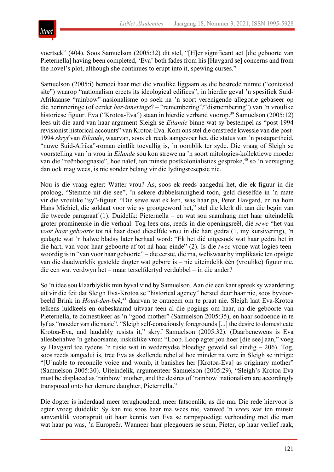

voertsek" (404). Soos Samuelson (2005:32) dit stel, "[H]er significant act [die geboorte van Pieternella] having been completed, 'Eva' both fades from his [Havgard se] concerns and from the novel's plot, although she continues to erupt into it, spewing curses."

Samuelson (2005:i) bemoei haar met die vroulike liggaam as die bestrede ruimte ("contested site") waarop "nationalism erects its ideological edifices", in hierdie geval 'n spesifiek Suid-Afrikaanse "rainbow"-nasionalisme op soek na 'n soort verenigende allegorie gebaseer op die herinneringe (of eerder *her-inneringe*? – "remembering"/"dismembering") van 'n vroulike historiese figuur. Eva ("Krotoa-Eva") staan in hierdie verband voorop.<sup>39</sup> Samuelson (2005:12) lees uit die aard van haar argument Sleigh se *Eilande* binne wat sy bestempel as "post-1994 revisionist historical accounts" van Krotoa-Eva. Kom ons stel die omstrede kwessie van die post-1994 *skryf* van *Eilande*, waarvan, soos ek reeds aangevoer het, die status van 'n postapartheid, "nuwe Suid-Afrika"-roman eintlik toevallig is, 'n oomblik ter syde. Die vraag of Sleigh se voorstelling van 'n vrou in *Eilande* sou kon strewe na 'n soort mitologies-kollektiewe moeder van die "reënboognasie", hoe naïef, ten minste postkolonialisties gesproke,<sup>40</sup> so 'n versugting dan ook mag wees, is nie sonder belang vir die lydingsresepsie nie.

Nou is die vraag egter: Watter vrou? As, soos ek reeds aangedui het, die ek-figuur in die proloog, "Stemme uit die see", 'n sekere dubbelsinnigheid toon, geld dieselfde in 'n mate vir die vroulike "sy"-figuur. "Die sewe wat ek ken, was haar pa, Peter Havgard, en na hom Hans Michiel, die soldaat voor wie sy grootgeword het," stel die klerk dit aan die begin van die tweede paragraaf (1). Duidelik: Pieternella – en wat sou saamhang met haar uiteindelik groter prominensie in die verhaal. Tog lees ons, reeds in die openingsreël, dié *sewe* "het van *voor haar geboorte* tot ná haar dood dieselfde vrou in die hart gedra (1, my kursivering), 'n gedagte wat 'n halwe bladsy later herhaal word: "Ek het dié uitgesoek wat haar gedra het in die hart, van voor haar geboorte af tot ná haar einde" (2). Is die *twee* vroue wat logies teenwoordig is in "van voor haar geboorte" – die eerste, die ma, weliswaar by implikasie ten opsigte van die daadwerklik gestelde dogter wat gebore is – nie uiteindelik één (vroulike) figuur nie, die een wat verdwyn het – maar terselfdertyd verdubbel – in die ander?

So 'n idee sou klaarblyklik min byval vind by Samuelson. Aan die een kant spreek sy waardering uit vir die feit dat Sleigh Eva-Krotoa se "historical agency" herstel deur haar nie, soos byvoorbeeld Brink in *Houd-den-bek*, <sup>41</sup> daarvan te ontneem om te praat nie. Sleigh laat Eva-Krotoa telkens luidkeels en onbeskaamd uitvaar teen al die pogings om haar, na die geboorte van Pieternella, te domestikeer as 'n "good mother" (Samuelson 2005:35), en haar sodoende in te lyf as "moeder van die nasie". "Sleigh self-consciously foregrounds [...] the desire to domesticate Krotoa-Eva, and laudably resists it," skryf Samuelson (2005:32). (Daarbenewens is Eva allesbehalwe 'n gehoorsame, inskiklike vrou: "Loop. Loop agter jou hoer [die see] aan," voeg sy Havgard toe tydens 'n rusie wat in wedersydse bloedige geweld sal eindig – 206). Tog, soos reeds aangedui is, tree Eva as skellende rebel al hoe minder na vore in Sleigh se intrige: "[U]nable to reconcile voice and womb, it banishes her [Krotoa-Eva] as originary mother" (Samuelson 2005:30). Uiteindelik, argumenteer Samuelson (2005:29), "Sleigh's Krotoa-Eva must be displaced as 'rainbow' mother, and the desires of 'rainbow' nationalism are accordingly transposed onto her demure daughter, Pieternella."

Die dogter is inderdaad meer terughoudend, meer fatsoenlik, as die ma. Die rede hiervoor is egter vroeg duidelik: Sy kan nie soos haar ma wees nie, vanweë 'n *vrees* wat ten minste aanvanklik voortspruit uit haar kennis van Eva se rampspoedige verhouding met die man wat haar pa was, 'n Europeër. Wanneer haar pleegouers se seun, Pieter, op haar verlief raak,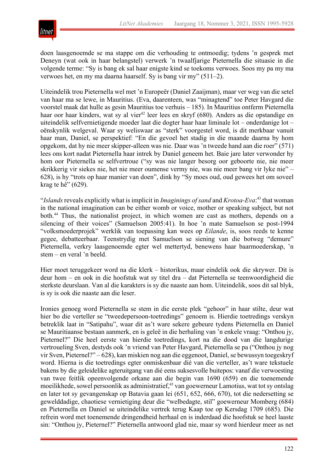

doen laasgenoemde se ma stappe om die verhouding te ontmoedig; tydens 'n gesprek met Deneyn (wat ook in haar belangstel) verwerk 'n twaalfjarige Pieternella die situasie in die volgende terme: "Sy is bang ek sal haar enigste kind se toekoms verwoes. Soos my pa my ma verwoes het, en my ma daarna haarself. Sy is bang vir my" (511–2).

Uiteindelik trou Pieternella wel met 'n Europeër (Daniel Zaaijman), maar ver weg van die setel van haar ma se lewe, in Mauritius. (Eva, daarenteen, was "minagtend" toe Peter Havgard die voorstel maak dat hulle as gesin Mauritius toe verhuis – 185). In Mauritius ontferm Pieternella haar oor haar kinders, wat sy al vier<sup>42</sup> leer lees en skryf (680). Anders as die opstandige en uiteindelik selfvernietigende moeder laat die dogter haar haar liminale lot – onderdanige lot – oënskynlik welgeval. Waar sy weliswaar as "sterk" voorgestel word, is dit merkbaar vanuit haar man, Daniel, se perspektief: "En die gevoel het stadig in die maande daarna by hom opgekom, dat hy nie meer skipper-alleen was nie. Daar was 'n tweede hand aan die roer" (571) lees ons kort nadat Pieternella haar intrek by Daniel geneem het. Baie jare later verwonder hy hom oor Pieternella se selfvertroue ("sy was nie langer besorg oor geboorte nie, nie meer skrikkerig vir siekes nie, het nie meer oumense vermy nie, was nie meer bang vir lyke nie" – 628), is hy "trots op haar manier van doen", dink hy "Sy moes oud, oud gewees het om soveel krag te hê" (629).

"*Islands*reveals explicitly what is implicit in *Imaginings of sand* and *Krotoa-Eva*: <sup>43</sup> that woman in the national imagination can be either womb or voice, mother or speaking subject, but not both.44 Thus, the nationalist project, in which women are cast as mothers, depends on a silencing of their voices" (Samuelson 2005:41). In hoe 'n mate Samuelson se post-1994 "volksmoederprojek" werklik van toepassing kan wees op *Eilande*, is, soos reeds te kenne gegee, debatteerbaar. Teenstrydig met Samuelson se siening van die botweg "demure" Pieternella, verkry laasgenoemde egter wel mettertyd, benewens haar baarmoederskap, 'n stem – en veral 'n beeld.

Hier moet teruggekeer word na die klerk – historikus, maar eindelik ook die skrywer. Dit is deur hom – en ook in die hoofstuk wat sy titel dra – dat Pieternella se teenwoordigheid die sterkste deurslaan. Van al die karakters is sy die naaste aan hom. Uiteindelik, soos dit sal blyk, is sy is ook die naaste aan die leser.

Ironies genoeg word Pieternella se stem in die eerste plek "gehoor" in haar stilte, deur wat hier bo die verteller se "tweedepersoon-toetredings" genoem is. Hierdie toetredings verskyn betreklik laat in "Satipahu", waar dit as't ware sekere gebeure tydens Pieternella en Daniel se Mauritiaanse bestaan aanmerk, en is geleë in die herhaling van 'n enkele vraag: "Onthou jy, Pieternel?" Die heel eerste van hierdie toetredings, kort na die dood van die langdurige vertroueling Sven, destyds ook 'n vriend van Peter Havgard, Pieternella se pa ("Onthou jy nog vir Sven, Pieternel?" – 628), kan miskien nog aan die eggenoot, Daniel, se bewussyn toegeskryf word. Hierna is die toetredings egter onmiskenbaar dié van die verteller, as't ware tekstuele bakens by die geleidelike agteruitgang van dié eens suksesvolle buitepos: vanaf die verwoesting van twee feitlik opeenvolgende orkane aan die begin van 1690 (659) en die toenemende moeilikhede, sowel persoonlik as administratief,<sup>45</sup> van goewerneur Lamotius, wat tot sy ontslag en later tot sy gevangenskap op Batavia gaan lei (651, 652, 666, 670), tot die nedersetting se gewelddadige, chaotiese vernietiging deur die "welbedagte, stil" goewerneur Momberg (684) en Pieternella en Daniel se uiteindelike vertrek terug Kaap toe op Kersdag 1709 (685). Die refrein word met toenemende dringendheid herhaal en is inderdaad die hoofstuk se heel laaste sin: "Onthou jy, Pieternel?" Pieternella antwoord glad nie, maar sy word hierdeur meer as net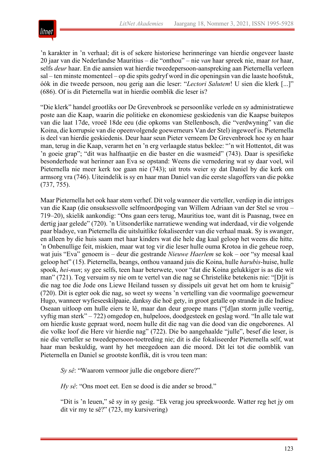

'n karakter in 'n verhaal; dit is of sekere historiese herinneringe van hierdie ongeveer laaste 20 jaar van die Nederlandse Mauritius – die "onthou" – nie *van* haar spreek nie, maar *tot* haar, selfs *deur* haar. En die aansien wat hierdie tweedepersoon-aanspreking aan Pieternella verleen sal – ten minste momenteel – op die spits gedryf word in die openingsin van die laaste hoofstuk, óók in die tweede persoon, nou gerig aan die leser: "*Lectori Salutem*! U sien die klerk [...]" (686). Of is dit Pieternella wat in hierdie oomblik die leser is?

"Die klerk" handel grootliks oor De Grevenbroek se persoonlike verlede en sy administratiewe poste aan die Kaap, waarin die politieke en ekonomiese geskiedenis van die Kaapse buitepos van die laat 17de, vroeë 18de eeu (die opkoms van Stellenbosch, die "verdwyning" van die Koina, die korrupsie van die opeenvolgende goewerneurs Van der Stel) ingeweef is. Pieternella is deel van hierdie geskiedenis. Deur haar seun Pieter verneem De Grevenbroek hoe sy en haar man, terug in die Kaap, verarm het en 'n erg verlaagde status beklee: "'n wit Hottentot, dit was 'n goeie grap"; "dit was halfnaatjie en die baster en die wasmeid" (743). Daar is spesifieke besonderhede wat herinner aan Eva se opstand: Weens die vernedering wat sy daar voel, wil Pieternella nie meer kerk toe gaan nie (743); uit trots weier sy dat Daniel by die kerk om armsorg vra (746). Uiteindelik is sy en haar man Daniel van die eerste slagoffers van die pokke (737, 755).

Maar Pieternella het ook haar stem verhef. Dit volg wanneer die verteller, verdiep in die intriges van die Kaap (die onsuksesvolle selfmoordpoging van Willem Adriaan van der Stel se vrou – 719–20), skielik aankondig: "Ons gaan eers terug, Mauritius toe, want dit is Paasnag, twee en dertig jaar gelede" (720). 'n Uitsonderlike narratiewe wending wat inderdaad, vir die volgende paar bladsye, van Pieternella die uitsluitlike fokaliseerder van die verhaal maak. Sy is swanger, en alleen by die huis saam met haar kinders wat die hele dag kaal geloop het weens die hitte. 'n Onbenullige feit, miskien, maar wat tog vir die leser hulle ouma Krotoa in die geheue roep, wat juis "Eva" genoem is – deur die gestrande *Nieuwe Haerlem* se kok – oor "sy meesal kaal geloop het" (15). Pieternella, beangs, onthou vanaand juis die Koina, hulle *harubis*-huise, hulle spook, *hei-nun*; sy gee selfs, teen haar beterwete, voor "dat die Koina gelukkiger is as die wit man" (721). Tog versuim sy nie om te vertel van die nag se Christelike betekenis nie: "[D]it is die nag toe die Jode ons Liewe Heiland tussen sy dissipels uit gevat het om hom te kruisig" (720). Dit is egter ook die nag, so weet sy weens 'n vertelling van die voormalige goewerneur Hugo, wanneer wyfieseeskilpaaie, danksy die hoë gety, in groot getalle op strande in die Indiese Oseaan uitloop om hulle eiers te lê, maar dan deur groepe mans ("[d]an storm julle veertig, vyftig man sterk" – 722) omgedop en, hulpeloos, doodgesteek en geslag word. "In alle tale wat om hierdie kuste gepraat word, noem hulle dit die nag van die dood van die ongeborenes. Al die volke loof die Here vir hierdie nag" (722). Die bo aangehaalde "julle", besef die leser, is nie die verteller se tweedepersoon-toetreding nie; dit is die fokaliseerder Pieternella self, wat haar man beskuldig, want hy het meegedoen aan die moord. Dit lei tot die oomblik van Pieternella en Daniel se grootste konflik, dit is vrou teen man:

*Sy sê*: "Waarom vermoor julle die ongebore diere?"

*Hy sê*: "Ons moet eet. Een se dood is die ander se brood."

"Dit is 'n leuen," sê sy in sy gesig. "Ek verag jou spreekwoorde. Watter reg het jy om dit vir my te sê?" (723, my kursivering)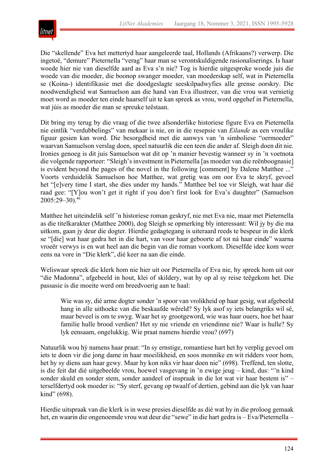

Die "skellende" Eva het mettertyd haar aangeleerde taal, Hollands (Afrikaans?) verwerp. Die ingetoë, "demure" Pieternella "verag" haar man se verontskuldigende rasionaliserings. Is haar woede hier nie van dieselfde aard as Eva s'n nie? Tog is hierdie uitgesproke woede juis die woede van die moeder, die boonop swanger moeder, van moederskap self, wat in Pieternella se (Koina-) identifikasie met die doodgeslagte seeskilpadwyfies alle grense oorskry. Die noodwendigheid wat Samuelson aan die hand van Eva illustreer, van die vrou wat vernietig moet word as moeder ten einde haarself uit te kan spreek as vrou, word opgehef in Pieternella, wat júis as moeder die man se spreuke teëstaan.

Dit bring my terug by die vraag of die twee afsonderlike historiese figure Eva en Pieternella nie eintlik "verdubbelings" van mekaar is nie, en in die resepsie van *Eilande* as een vroulike figuur gesien kan word. Die besorgdheid met die aanwys van 'n simboliese "oermoeder" waarvan Samuelson verslag doen, speel natuurlik die een teen die ander af. Sleigh doen dit nie. Ironies genoeg is dit juis Samuelson wat dit op 'n manier bevestig wanneer sy in 'n voetnota die volgende rapporteer: "Sleigh's investment in Pieternella [as moeder van die reënboognasie] is evident beyond the pages of the novel in the following [comment] by Dalene Matthee ..." Voorts verduidelik Samuelson hoe Matthee, wat gretig was om oor Eva te skryf, gevoel het "[e]very time I start, she dies under my hands." Matthee bel toe vir Sleigh, wat haar dié raad gee: "[Y]ou won't get it right if you don't first look for Eva's daughter" (Samuelson 2005:29–30).46

Matthee het uiteindelik self 'n historiese roman geskryf, nie met Eva nie, maar met Pieternella as die titelkarakter (Matthee 2000), dog Sleigh se opmerking bly interessant: Wil jy by die ma uitkom, gaan jy deur die dogter. Hierdie gedagtegang is uiteraard reeds te bespeur in die klerk se "[die] wat haar gedra het in die hart, van voor haar geboorte af tot ná haar einde" waarna vroeër verwys is en wat heel aan die begin van die roman voorkom. Dieselfde idee kom weer eens na vore in "Die klerk", dié keer na aan die einde.

Weliswaar spreek die klerk hom nie hier uit oor Pieternella of Eva nie, hy spreek hom uit oor "die Madonna", afgebeeld in hout, klei of skildery, wat hy op al sy reise teëgekom het. Die passasie is die moeite werd om breedvoerig aan te haal:

Wie was sy, dié arme dogter sonder 'n spoor van vrolikheid op haar gesig, wat afgebeeld hang in alle uithoeke van die beskaafde wêreld? Sy lyk asof sy iets belangriks wil sê, maar beveel is om te swyg. Waar het sy grootgeword, wie was haar ouers, hoe het haar familie hulle brood verdien? Het sy nie vriende en vriendinne nie? Waar is hulle? Sy lyk eensaam, ongelukkig. Wie praat namens hierdie vrou? (697)

Natuurlik wou hý namens haar praat: "In sy ernstige, romantiese hart het hy verplig gevoel om iets te doen vir die jong dame in haar moeilikheid, en soos monnike en wit ridders voor hom, het hy sy diens aan haar gewy. Maar hy kon niks vir haar doen nie" (698). Treffend, ten slotte, is die feit dat dié uitgebeelde vrou, hoewel vasgevang in 'n ewige jeug – kind, dus: "'n kind sonder skuld en sonder stem, sonder aandeel of inspraak in die lot wat vir haar bestem is" – terselfdertyd ook moeder is: "Sy sterf, gevang op twaalf of dertien, gebind aan die lyk van haar kind" (698).

Hierdie uitspraak van die klerk is in wese presies dieselfde as dié wat hy in die proloog gemaak het, en waarin die ongenoemde vrou wat deur die "sewe" in die hart gedra is – Eva/Pieternella –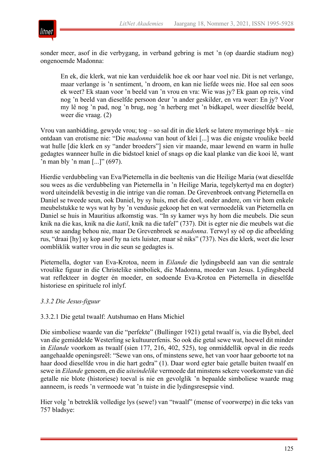

sonder meer, asof in die verbygang, in verband gebring is met 'n (op daardie stadium nog) ongenoemde Madonna:

En ek, die klerk, wat nie kan verduidelik hoe ek oor haar voel nie. Dit is net verlange, maar verlange is 'n sentiment, 'n droom, en kan nie liefde wees nie. Hoe sal een soos ek weet? Ek staan voor 'n beeld van 'n vrou en vra: Wie was jy? Ek gaan op reis, vind nog 'n beeld van dieselfde persoon deur 'n ander geskilder, en vra weer: En jy? Voor my lê nog 'n pad, nog 'n brug, nog 'n herberg met 'n bidkapel, weer dieselfde beeld, weer die vraag. (2)

Vrou van aanbidding, gewyde vrou; tog – so sal dit in die klerk se latere mymeringe blyk – nie ontdaan van erotisme nie: "Die *madonna* van hout of klei [...] was die enigste vroulike beeld wat hulle [die klerk en sy "ander broeders"] sien vir maande, maar lewend en warm in hulle gedagtes wanneer hulle in die bidstoel kniel of snags op die kaal planke van die kooi lê, want 'n man bly 'n man  $\left[ \ldots \right]$ " (697).

Hierdie verdubbeling van Eva/Pieternella in die beeltenis van die Heilige Maria (wat dieselfde sou wees as die verdubbeling van Pieternella in 'n Heilige Maria, tegelykertyd ma en dogter) word uiteindelik bevestig in die intrige van die roman. De Grevenbroek ontvang Pieternella en Daniel se tweede seun, ook Daniel, by sy huis, met die doel, onder andere, om vir hom enkele meubelstukke te wys wat hy by 'n vendusie gekoop het en wat vermoedelik van Pieternella en Daniel se huis in Mauritius afkomstig was. "In sy kamer wys hy hom die meubels. Die seun knik na die kas, knik na die *katil*, knik na die tafel" (737). Dit is egter nie die meubels wat die seun se aandag behou nie, maar De Grevenbroek se *madonna*. Terwyl sy oë op die afbeelding rus, "draai [hy] sy kop asof hy na iets luister, maar sê niks" (737). Nes die klerk, weet die leser oombliklik watter vrou in die seun se gedagtes is.

Pieternella, dogter van Eva-Krotoa, neem in *Eilande* die lydingsbeeld aan van die sentrale vroulike figuur in die Christelike simboliek, die Madonna, moeder van Jesus. Lydingsbeeld wat reflekteer in dogter én moeder, en sodoende Eva-Krotoa en Pieternella in dieselfde historiese en spirituele rol inlyf.

## *3.3.2 Die Jesus-figuur*

## 3.3.2.1 Die getal twaalf: Autshumao en Hans Michiel

Die simboliese waarde van die "perfekte" (Bullinger 1921) getal twaalf is, via die Bybel, deel van die gemiddelde Westerling se kultuurerfenis. So ook die getal sewe wat, hoewel dit minder in *Eilande* voorkom as twaalf (sien 177, 216, 402, 525), tog onmiddellik opval in die reeds aangehaalde openingsreël: "Sewe van ons, of minstens sewe, het van voor haar geboorte tot na haar dood dieselfde vrou in die hart gedra" (1). Daar word egter baie getalle buiten twaalf en sewe in *Eilande* genoem, en die *uiteindelike* vermoede dat minstens sekere voorkomste van dié getalle nie blote (historiese) toeval is nie en gevolglik 'n bepaalde simboliese waarde mag aanneem, is reeds 'n vermoede wat 'n tuiste in die lydingsresepsie vind.

Hier volg 'n betreklik volledige lys (sewe!) van "twaalf" (mense of voorwerpe) in die teks van 757 bladsye: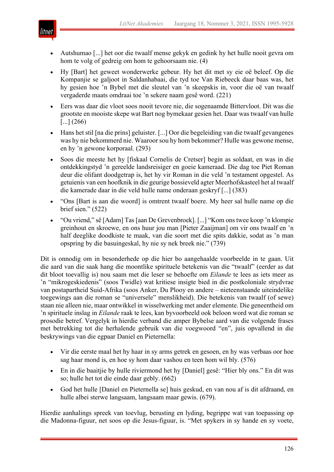

- Autshumao [...] het oor die twaalf mense gekyk en gedink hy het hulle nooit gevra om hom te volg of gedreig om hom te gehoorsaam nie. (4)
- Hy [Bart] het geweet wonderwerke gebeur. Hy het dit met sy eie oë beleef. Op die Kompanjie se galjoot in Saldanhabaai, die tyd toe Van Riebeeck daar baas was, het hy gesien hoe 'n Bybel met die sleutel van 'n skeepskis in, voor die oë van twaalf vergaderde maats omdraai toe 'n sekere naam gesê word. (221)
- Eers was daar die vloot soos nooit tevore nie, die sogenaamde Bittervloot. Dit was die grootste en mooiste skepe wat Bart nog bymekaar gesien het. Daar was twaalf van hulle  $\left[ \ldots \right] (266)$
- Hans het stil [na die prins] geluister. [...] Oor die begeleiding van die twaalf gevangenes was hy nie bekommerd nie. Waaroor sou hy hom bekommer? Hulle was gewone mense, en hy 'n gewone korporaal. (293)
- Soos die meeste het hy [fiskaal Cornelis de Cretser] begin as soldaat, en was in die ontdekkingstyd 'n gereelde landsreisiger en goeie kameraad. Die dag toe Piet Roman deur die olifant doodgetrap is, het hy vir Roman in die veld 'n testament opgestel. As getuienis van een hoofknik in die geurige bossieveld agter Meerhofskasteel het al twaalf die kamerade daar in die veld hulle name onderaan geskryf [...] (383)
- "Ons [Bart is aan die woord] is omtrent twaalf boere. My heer sal hulle name op die brief sien." (522)
- "Ou vriend," sê [Adam] Tas [aan De Grevenbroek]. [...] "Kom ons twee koop 'n klompie greinhout en skroewe, en ons huur jou man [Pieter Zaaijman] om vir ons twaalf en 'n half deeglike doodkiste te maak, van die soort met die spits dakkie, sodat as 'n man opspring by die basuingeskal, hy nie sy nek breek nie." (739)

Dit is onnodig om in besonderhede op die hier bo aangehaalde voorbeelde in te gaan. Uit die aard van die saak hang die moontlike spirituele betekenis van die "twaalf" (eerder as dat dit bloot toevallig is) nou saam met die leser se behoefte om *Eilande* te lees as iets meer as 'n "mikrogeskiedenis" (soos Twidle) wat kritiese insigte bied in die postkoloniale strydvrae van postapartheid Suid-Afrika (soos Anker, Du Plooy en andere – nieteenstaande uiteindelike toegewings aan die roman se "universele" menslikheid). Die betekenis van twaalf (of sewe) staan nie alleen nie, maar ontwikkel in wisselwerking met ander elemente. Die geneentheid om 'n spirituele inslag in *Eilande* raak te lees, kan byvoorbeeld ook beloon word wat die roman se prosodie betref. Vergelyk in hierdie verband die amper Bybelse aard van die volgende frases met betrekking tot die herhalende gebruik van die voegwoord "en", juis opvallend in die beskrywings van die egpaar Daniel en Pieternella:

- Vir die eerste maal het hy haar in sy arms getrek en gesoen, en hy was verbaas oor hoe sag haar mond is, en hoe sy hom daar vashou en teen hom wil bly. (576)
- En in die baaitjie by hulle riviermond het hy [Daniel] gesê: "Hier bly ons." En dit was so; hulle het tot die einde daar gebly. (662)
- God het hulle [Daniel en Pieternella se] huis geskud, en van nou af is dit afdraand, en hulle albei sterwe langsaam, langsaam maar gewis. (679).

Hierdie aanhalings spreek van toevlug, berusting en lyding, begrippe wat van toepassing op die Madonna-figuur, net soos op die Jesus-figuur, is. "Met spykers in sy hande en sy voete,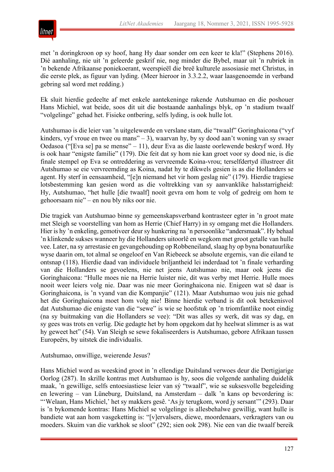

met 'n doringkroon op sy hoof, hang Hy daar sonder om een keer te kla!" (Stephens 2016). Dié aanhaling, nie uit 'n geleerde geskrif nie, nog minder die Bybel, maar uit 'n rubriek in 'n bekende Afrikaanse poniekoerant, weerspieël die breë kulturele assosiasie met Christus, in die eerste plek, as figuur van lyding. (Meer hieroor in 3.3.2.2, waar laasgenoemde in verband gebring sal word met redding.)

Ek sluit hierdie gedeelte af met enkele aantekeninge rakende Autshumao en die poshouer Hans Michiel, wat beide, soos dit uit die bostaande aanhalings blyk, op 'n stadium twaalf "volgelinge" gehad het. Fisieke ontbering, selfs lyding, is ook hulle lot.

Autshumao is die leier van 'n uitgelewerde en verslane stam, die "twaalf" Goringhaicona ("vyf kinders, vyf vroue en twee ou mans" – 3), waarvan hy, by sy dood aan't woning van sy swaer Oedasoa ("[Eva se] pa se mense" – 11), deur Eva as die laaste oorlewende beskryf word. Hy is ook haar "enigste familie" (179). Die feit dat sy hom nie kan groet voor sy dood nie, is die finale stempel op Eva se ontreddering as vervreemde Koina-vrou; terselfdertyd illustreer dit Autshumao se eie vervreemding as Koina, nadat hy te dikwels gesien is as die Hollanders se agent. Hy sterf in eensaamheid, "[e]n niemand het vir hom geslag nie" (179). Hierdie tragiese lotsbestemming kan gesien word as die voltrekking van sy aanvanklike halsstarrigheid: Hy, Autshumao, "het hulle [die twaalf] nooit gevra om hom te volg of gedreig om hom te gehoorsaam nie" – en nou bly niks oor nie.

Die tragiek van Autshumao binne sy gemeenskapsverband kontrasteer egter in 'n groot mate met Sleigh se voorstelling van hom as Herrie (Chief Harry) in sy omgang met die Hollanders. Hier is hy 'n enkeling, gemotiveer deur sy hunkering na 'n persoonlike "andersmaak". Hy behaal 'n klinkende sukses wanneer hy die Hollanders uitoorlê en wegkom met groot getalle van hulle vee. Later, na sy arrestasie en gevangehouding op Robbeneiland, slaag hy op byna bonatuurlike wyse daarin om, tot almal se ongeloof en Van Riebeeck se absolute ergernis, van die eiland te ontsnap (118). Hierdie daad van individuele briljantheid lei inderdaad tot 'n finale verharding van die Hollanders se gevoelens, nie net jeens Autshumao nie, maar ook jeens die Goringhaicona: "Hulle moes nie na Herrie luister nie, dit was verby met Herrie. Hulle moes nooit weer leiers volg nie. Daar was nie meer Goringhaicona nie. Enigeen wat sê daar is Goringhaicona, is 'n vyand van die Kompanjie" (121). Maar Autshumao wou juis nie gehad het die Goringhaicona moet hom volg nie! Binne hierdie verband is dit ook betekenisvol dat Autshumao die enigste van die "sewe" is wie se hoofstuk op 'n triomfantlike noot eindig (na sy buitmaking van die Hollanders se vee): "Dit was alles sy werk, dit was sy dag, en sy gees was trots en verlig. Die gedagte het by hom opgekom dat hy heelwat slimmer is as wat hy geweet het" (54). Van Sleigh se sewe fokaliseerders is Autshumao, gebore Afrikaan tussen Europeërs, by uitstek die individualis.

#### Autshumao, onwillige, weierende Jesus?

Hans Michiel word as weeskind groot in 'n ellendige Duitsland verwoes deur die Dertigjarige Oorlog (287). In skrille kontras met Autshumao is hy, soos die volgende aanhaling duidelik maak, 'n gewillige, selfs entoesiastiese leier van sý "twaalf", wie se suksesvolle begeleiding en lewering – van Lüneburg, Duitsland, na Amsterdam – dalk 'n kans op bevordering is: "'Welaan, Hans Michiel,' het sy makkers gesê. 'As jy terugkom, word jy sersant'" (293). Daar is 'n bykomende kontras: Hans Michiel se volgelinge is allesbehalwe gewillig, want hulle is bandiete wat aan hom vasgeketting is: "[v]ervalsers, diewe, moordenaars, verkragters van ou moeders. Skuim van die varkhok se sloot" (292; sien ook 298). Nie een van die twaalf bereik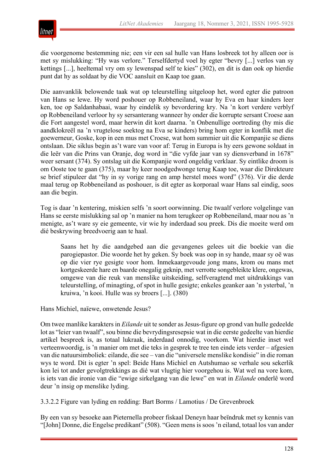

die voorgenome bestemming nie; een vir een sal hulle van Hans losbreek tot hy alleen oor is met sy mislukking: "Hy was verlore." Terselfdertyd voel hy egter "bevry [...] verlos van sy kettings [...], heeltemal vry om sy lewenspad self te kies" (302), en dit is dan ook op hierdie punt dat hy as soldaat by die VOC aansluit en Kaap toe gaan.

Die aanvanklik belowende taak wat op teleurstelling uitgeloop het, word egter die patroon van Hans se lewe. Hy word poshouer op Robbeneiland, waar hy Eva en haar kinders leer ken, toe op Saldanhabaai, waar hy eindelik sy bevordering kry. Na 'n kort verdere verblyf op Robbeneiland verloor hy sy sersanterang wanneer hy onder die korrupte sersant Croese aan die Fort aangestel word, maar herwin dit kort daarna. 'n Onbenullige oortreding (hy mis die aandklokreël na 'n vrugtelose soektog na Eva se kinders) bring hom egter in konflik met die goewerneur, Goske, kop in een mus met Croese, wat hom summier uit die Kompanjie se diens ontslaan. Die siklus begin as't ware van voor af: Terug in Europa is hy eers gewone soldaat in die leër van die Prins van Oranje, dog word in "die vyfde jaar van sy diensverband in 1678" weer sersant (374). Sy ontslag uit die Kompanjie word ongeldig verklaar. Sy eintlike droom is om Ooste toe te gaan (375), maar hy keer noodgedwonge terug Kaap toe, waar die Direkteure se brief stipuleer dat "hy in sy vorige rang en amp herstel moes word" (376). Vir die derde maal terug op Robbeneiland as poshouer, is dit egter as korporaal waar Hans sal eindig, soos aan die begin.

Tog is daar 'n kentering, miskien selfs 'n soort oorwinning. Die twaalf verlore volgelinge van Hans se eerste mislukking sal op 'n manier na hom terugkeer op Robbeneiland, maar nou as 'n menigte, as't ware sy eie gemeente, vir wie hy inderdaad sou preek. Dis die moeite werd om dié beskrywing breedvoerig aan te haal.

Saans het hy die aandgebed aan die gevangenes gelees uit die boekie van die parogiepastor. Die woorde het hy geken. Sy boek was oop in sy hande, maar sy oë was op die vier rye gesigte voor hom. Inmekaargevoude jong mans, krom ou mans met kortgeskeerde hare en baarde onegalig geknip, met verrotte songebleikte klere, ongewas, omgewe van die reuk van menslike uitskeiding, selfveragtend met uitdrukkings van teleurstelling, of minagting, of spot in hulle gesigte; enkeles geanker aan 'n ysterbal, 'n kruiwa, 'n kooi. Hulle was sy broers [...]. (380)

Hans Michiel, naïewe, onwetende Jesus?

Om twee manlike karakters in *Eilande* uit te sonder as Jesus-figure op grond van hulle gedeelde lot as "leier van twaalf", sou binne die bevrydingsresepsie wat in die eerste gedeelte van hierdie artikel bespreek is, as totaal lukraak, inderdaad onnodig, voorkom. Wat hierdie inset wel verteenwoordig, is 'n manier om met die teks in gesprek te tree ten einde iets verder – afgesien van die natuursimboliek: eilande, die see – van die "universele menslike kondisie" in die roman wys te word. Dit is egter 'n spel: Beide Hans Michiel en Autshumao se verhale sou sekerlik kon lei tot ander gevolgtrekkings as dié wat vlugtig hier voorgehou is. Wat wel na vore kom, is iets van die ironie van die "ewige sirkelgang van die lewe" en wat in *Eilande* onderlê word deur 'n insig op menslike lyding.

3.3.2.2 Figure van lyding en redding: Bart Borms / Lamotius / De Grevenbroek

By een van sy besoeke aan Pieternella probeer fiskaal Deneyn haar beïndruk met sy kennis van "[John] Donne, die Engelse predikant" (508). "Geen mens is soos 'n eiland, totaal los van ander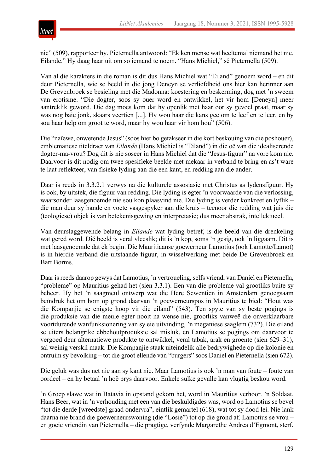

nie" (509), rapporteer hy. Pieternella antwoord: "Ek ken mense wat heeltemal niemand het nie. Eilande." Hy daag haar uit om so iemand te noem. "Hans Michiel," sê Pieternella (509).

Van al die karakters in die roman is dit dus Hans Michiel wat "Eiland" genoem word – en dit deur Pieternella, wie se beeld in die jong Deneyn se verliefdheid ons hier kan herinner aan De Grevenbroek se besieling met die Madonna: koestering en beskerming, dog met 'n sweem van erotisme. "Die dogter, soos sy ouer word en ontwikkel, het vir hom [Deneyn] meer aantreklik geword. Die dag moes kom dat hy openlik met haar oor sy gevoel praat, maar sy was nog baie jonk, skaars veertien [...]. Hy wou haar die kans gee om te leef en te leer, en hy sou haar help om groot te word, maar hy wou haar vir hom hou" (506).

Die "naïewe, onwetende Jesus" (soos hier bo getakseer in die kort beskouing van die poshouer), emblematiese titeldraer van *Eilande* (Hans Michiel is "Eiland") in die oë van die idealiserende dogter-ma-vrou? Dog dit is nie soseer in Hans Michiel dat die "Jesus-figuur" na vore kom nie. Daarvoor is dit nodig om twee spesifieke beelde met mekaar in verband te bring en as't ware te laat reflekteer, van fisieke lyding aan die een kant, en redding aan die ander.

Daar is reeds in 3.3.2.1 verwys na die kulturele assosiasie met Christus as lydensfiguur. Hy is ook, by uitstek, die figuur van redding. Die lyding is egter 'n voorwaarde van die verlossing, waarsonder laasgenoemde nie sou kon plaasvind nie. Die lyding is verder konkreet en lyflik – die man deur sy hande en voete vasgespyker aan die kruis – teenoor die redding wat juis die (teologiese) objek is van betekenisgewing en interpretasie; dus meer abstrak, intellektueel.

Van deurslaggewende belang in *Eilande* wat lyding betref, is die beeld van die drenkeling wat gered word. Dié beeld is veral vleeslik; dit is 'n kop, soms 'n gesig, ook 'n liggaam. Dit is met laasgenoemde dat ek begin. Die Mauritiaanse goewerneur Lamotius (ook Lamotte/Lamot) is in hierdie verband die uitstaande figuur, in wisselwerking met beide De Grevenbroek en Bart Borms.

Daar is reeds daarop gewys dat Lamotius, 'n vertroueling, selfs vriend, van Daniel en Pieternella, "probleme" op Mauritius gehad het (sien 3.3.1). Een van die probleme val grootliks buite sy beheer. Hy het 'n saagmeul ontwerp wat die Here Sewentien in Amsterdam genoegsaam beïndruk het om hom op grond daarvan 'n goewerneurspos in Mauritius te bied: "Hout was die Kompanjie se enigste hoop vir die eiland" (543). Ten spyte van sy beste pogings is die produksie van die meule egter nooit na wense nie, grootliks vanweë die onverklaarbare voortdurende wanfunksionering van sy eie uitvinding, 'n meganiese saaglem (732). Die eiland se uiters belangrike ebbehoutproduksie sal misluk, en Lamotius se pogings om daarvoor te vergoed deur alternatiewe produkte te ontwikkel, veral tabak, arak en groente (sien 629–31), sal weinig verskil maak. Die Kompanjie staak uiteindelik alle bedrywighede op die kolonie en ontruim sy bevolking – tot die groot ellende van "burgers" soos Daniel en Pieternella (sien 672).

Die geluk was dus net nie aan sy kant nie. Maar Lamotius is ook 'n man van foute – foute van oordeel – en hy betaal 'n hoë prys daarvoor. Enkele sulke gevalle kan vlugtig beskou word.

'n Groep slawe wat in Batavia in opstand gekom het, word in Mauritius verhoor. 'n Soldaat, Hans Beer, wat in 'n verhouding met een van die beskuldigdes was, word op Lamotius se bevel "tot die derde [wreedste] graad ondervra", eintlik gemartel (618), wat tot sy dood lei. Nie lank daarna nie brand die goewerneurswoning (die "Losie") tot op die grond af. Lamotius se vrou – en goeie vriendin van Pieternella – die pragtige, verfynde Margarethe Andrea d'Egmont, sterf,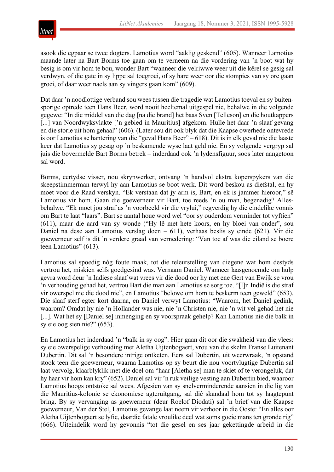

asook die egpaar se twee dogters. Lamotius word "aaklig geskend" (605). Wanneer Lamotius maande later na Bart Borms toe gaan om te verneem na die vordering van 'n boot wat hy besig is om vir hom te bou, wonder Bart "wanneer die velriwwe weer uit die kêrel se gesig sal verdwyn, of die gate in sy lippe sal toegroei, of sy hare weer oor die stompies van sy ore gaan groei, of daar weer naels aan sy vingers gaan kom" (609).

Dat daar 'n noodlottige verband sou wees tussen die tragedie wat Lamotius toeval en sy buitensporige optrede teen Hans Beer, word nooit heeltemal uitgespel nie, behalwe in die volgende gegewe: "In die middel van die dag [na die brand] het baas Sven [Telleson] en die houtkappers [...] van Noordwyksvlakte ['n gebied in Mauritius] afgekom. Hulle het daar 'n slaaf gevang en die storie uit hom gehaal" (606). (Later sou dit ook blyk dat die Kaapse owerhede ontevrede is oor Lamotius se hantering van die "geval Hans Beer" – 618). Dit is in elk geval nie die laaste keer dat Lamotius sy gesag op 'n beskamende wyse laat geld nie. En sy volgende vergryp sal juis die bovermelde Bart Borms betrek – inderdaad ook 'n lydensfiguur, soos later aangetoon sal word.

Borms, eertydse visser, nou skrynwerker, ontvang 'n handvol ekstra koperspykers van die skeepstimmerman terwyl hy aan Lamotius se boot werk. Dit word beskou as diefstal, en hy moet voor die Raad verskyn. "Ek verstaan dat jy arm is, Bart, en ek is jammer hieroor," sê Lamotius vir hom. Gaan die goewerneur vir Bart, toe reeds 'n ou man, begenadig? Allesbehalwe. "Ek moet jou straf as 'n voorbeeld vir die vrylui," regverdig hy die eindelike vonnis om Bart te laat "laars". Bart se aantal houe word wel "oor sy ouderdom verminder tot vyftien" (611), maar die aard van sy wonde ("Hy lê met hete koors, en hy bloei van onder", sou Daniel na dese aan Lamotius verslag doen – 611), verhaas beslis sy einde (621). Vir die goewerneur self is dit 'n verdere graad van vernedering: "Van toe af was die eiland se boere teen Lamotius" (613).

Lamotius sal spoedig nóg foute maak, tot die teleurstelling van diegene wat hom destyds vertrou het, miskien selfs goedgesind was. Vernaam Daniel. Wanneer laasgenoemde om hulp gevra word deur 'n Indiese slaaf wat vrees vir die dood oor hy met ene Gert van Ewijk se vrou 'n verhouding gehad het, vertrou Bart die man aan Lamotius se sorg toe. "[I]n Indië is die straf vir owerspel nie die dood nie", en Lamotius "belowe om hom te beskerm teen geweld" (653). Die slaaf sterf egter kort daarna, en Daniel verwyt Lamotius: "Waarom, het Daniel gedink, waarom? Omdat hy nie 'n Hollander was nie, nie 'n Christen nie, nie 'n wit vel gehad het nie [...]. Wat het sy [Daniel se] inmenging en sy voorspraak gehelp? Kan Lamotius nie die balk in sy eie oog sien nie?" (653).

En Lamotius het inderdaad 'n "balk in sy oog". Hier gaan dit oor die swakheid van die vlees: sy eie owerspelige verhouding met Aletha Uijtenbogaert, vrou van die skelm Franse Luitenant Dubertin. Dit sal 'n besondere intrige ontketen. Eers sal Dubertin, uit weerwraak, 'n opstand stook teen die goewerneur, waarna Lamotius op sy beurt die nou voortvlugtige Dubertin sal laat vervolg, klaarblyklik met die doel om "haar [Aletha se] man te skiet of te verongeluk, dat hy haar vir hom kan kry" (652). Daniel sal vir 'n ruk veilige vesting aan Dubertin bied, waaroor Lamotius hoogs ontstoke sal wees. Afgesien van sy snelverminderende aansien in die lig van die Mauritius-kolonie se ekonomiese agteruitgang, sal dié skandaal hom tot sy laagtepunt bring. By sy vervanging as goewerneur (deur Roelof Diodati) sal 'n brief van die Kaapse goewerneur, Van der Stel, Lamotius gevange laat neem vir verhoor in die Ooste: "En alles oor Aletha Uijtenbogaert se lyfie, daardie fatale vroulike deel wat soms goeie mans ten gronde rig" (666). Uiteindelik word hy gevonnis "tot die gesel en ses jaar gekettingde arbeid in die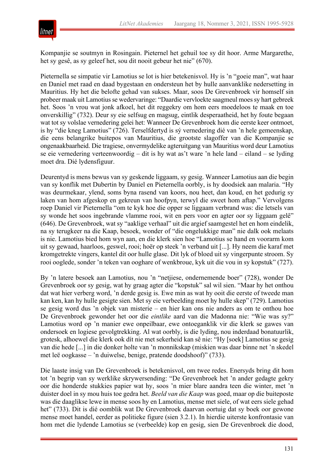

Kompanjie se soutmyn in Rosingain. Pieternel het gehuil toe sy dit hoor. Arme Margarethe, het sy gesê, as sy geleef het, sou dit nooit gebeur het nie" (670).

Pieternella se simpatie vir Lamotius se lot is hier betekenisvol. Hy is 'n "goeie man", wat haar en Daniel met raad en daad bygestaan en ondersteun het by hulle aanvanklike nedersetting in Mauritius. Hy het die belofte gehad van sukses. Maar, soos De Grevenbroek vir homself sin probeer maak uit Lamotius se wedervaringe: "Daardie vervloekte saagmeul moes sy hart gebreek het. Soos 'n vrou wat jonk afkoel, het dit reggekry om hom eers moedeloos te maak en toe onverskillig" (732). Deur sy eie selfsug en magsug, eintlik desperaatheid, het hy foute begaan wat tot sy volslae vernedering gelei het: Wanneer De Grevenbroek hom die eerste keer ontmoet, is hy "die kneg Lamotius" (726). Terselfdertyd is sý vernedering dié van 'n hele gemeenskap, die eens belangrike buitepos van Mauritius, die grootste slagoffer van die Kompanjie se ongenaakbaarheid. Die tragiese, onvermydelike agteruitgang van Mauritius word deur Lamotius se eie vernedering verteenwoordig – dit is hy wat as't ware 'n hele land – eiland – se lyding moet dra. Dié lydensfiguur.

Deurentyd is mens bewus van sy geskende liggaam, sy gesig. Wanneer Lamotius aan die begin van sy konflik met Dubertin by Daniel en Pieternella oorbly, is hy doodsiek aan malaria. "Hy was deurmekaar, ylend, soms byna rasend van koors, nou heet, dan koud, en het gedurig sy laken van hom afgeskop en gekreun van hoofpyn, terwyl die sweet hom aftap." Vervolgens roep Daniel vir Pieternella "om te kyk hoe die opper se liggaam verbrand was: die letsels van sy wonde het soos ingebrande vlamme rooi, wit en pers voor en agter oor sy liggaam gelê" (646). De Grevenbroek, wat sy "aaklige verhaal" uit die argief saamgestel het en hom eindelik, na sy terugkeer na die Kaap, besoek, wonder of "die ongelukkige man" nie dalk ook melaats is nie. Lamotius bied hom wyn aan, en die klerk sien hoe "Lamotius se hand en voorarm kom uit sy gewaad, haarloos, geswel, rooi; hoër op steek 'n verband uit [...]. Hy neem die karaf met kromgetrekte vingers, kantel dit oor hulle glase. Dit lyk of bloed uit sy vingerpunte stroom. Sy rooi ooglede, sonder 'n teken van ooghare of wenkbroue, kyk uit die vou in sy kopstuk" (727).

By 'n latere besoek aan Lamotius, nou 'n "netjiese, ondernemende boer" (728), wonder De Grevenbroek oor sy gesig, wat hy graag agter die "kopstuk" sal wil sien. "Maar hy het onthou dat wat hier verberg word, 'n derde gesig is. Ewe min as wat hy ooit die eerste of tweede man kan ken, kan hy hulle gesigte sien. Met sy eie verbeelding moet hy hulle skep" (729). Lamotius se gesig word dus 'n objek van misterie – en hier kan ons nie anders as om te onthou hoe De Grevenbroek gewonder het oor die *eintlike* aard van die Madonna nie: "Wie was sy?" Lamotius word op 'n manier ewe onpeilbaar, ewe ontoeganklik vir die klerk se gawes van ondersoek en logiese gevolgtrekking. Al wat oorbly, is die lyding, nou inderdaad bonatuurlik, grotesk, alhoewel die klerk ook dít nie met sekerheid kan sê nie: "Hy [soek] Lamotius se gesig van die hede [...] in die donker holte van 'n monnikskap (miskien was daar binne net 'n skedel met leë oogkasse – 'n duiwelse, benige, pratende doodshoof)" (733).

Die laaste insig van De Grevenbroek is betekenisvol, om twee redes. Enersyds bring dit hom tot 'n begrip van sy werklike skrywersending: "De Grevenbroek het 'n ander gedagte gekry oor die honderde stukkies papier wat hy, soos 'n mier blare aandra teen die winter, met 'n duister doel in sy mou huis toe gedra het. *Beeld van die Kaap* was goed, maar op die buiteposte was die daaglikse lewe in mense soos hy en Lamotius, mense met siele, of wat eers siele gehad het" (733). Dit is dié oomblik wat De Grevenbroek daarvan oortuig dat sy boek oor gewone mense moet handel, eerder as politieke figure (sien 3.2.1). In hierdie uiterste konfrontasie van hom met die lydende Lamotius se (verbeelde) kop en gesig, sien De Grevenbroek die dood,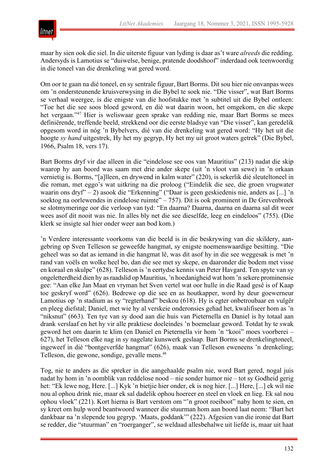

maar hy sien ook die siel. In die uiterste figuur van lyding is daar as't ware *alreeds* die redding. Andersyds is Lamotius se "duiwelse, benige, pratende doodshoof" inderdaad ook teenwoordig in die toneel van die drenkeling wat gered word.

Om oor te gaan na dié toneel, en sy sentrale figuur, Bart Borms. Dit sou hier nie onvanpas wees om 'n ondersteunende kruisverwysing in die Bybel te soek nie. "Die visser", wat Bart Borms se verhaal weergee, is die enigste van die hoofstukke met 'n subtitel uit die Bybel ontleen: "Toe het die see soos bloed geword, en dié wat daarin woon, het omgekom, en die skepe het vergaan."47 Hier is weliswaar geen sprake van redding nie, maar Bart Borms se mees definiërende, treffende beeld, strekkend oor die eerste bladsye van "Die visser", kan geredelik opgesom word in nóg 'n Bybelvers, dié van die drenkeling wat gered word: "Hy het uit die hoogte *sy hand* uitgestrek, Hy het my gegryp, Hy het my uit groot waters getrek" (Die Bybel, 1966, Psalm 18, vers 17).

Bart Borms dryf vir dae alleen in die "eindelose see oos van Mauritius" (213) nadat die skip waarop hy aan boord was saam met drie ander skepe (uit 'n vloot van sewe) in 'n orkaan vernietig is. Borms, "[a]lleen, en drywend in kalm water" (220), is sekerlik dié sleuteltoneel in die roman, met eggo's wat uitkring na die proloog ("Eindelik die see, die groen vrugwater waarin ons dryf" – 2) asook die "Erkenning" ("Daar is geen geskiedenis nie, anders as [...] 'n soektog na oorlewendes in eindelose ruimte"  $-757$ ). Dit is ook prominent in De Grevenbroek se slotmymeringe oor die verloop van tyd: "En daarna? Daarna, daarna en daarna sal dit weer wees asof dit nooit was nie. In alles bly net die see dieselfde, leeg en eindeloos" (755). (Die klerk se insigte sal hier onder weer aan bod kom.)

'n Verdere interessante voorkoms van die beeld is in die beskrywing van die skildery, aangebring op Sven Telleson se geweefde hangmat, sy enigste noemenswaardige besitting. "Die geheel was so dat as iemand in die hangmat lê, was dit asof hy in die see weggesak is met 'n rand van voëls en wolke heel bo, dan die see met sy skepe, en daaronder die bodem met visse en koraal en skulpe" (628). Telleson is 'n eertydse kennis van Peter Havgard. Ten spyte van sy ongeletterdheid dien hy as raadslid op Mauritius, 'n hoedanigheid wat hom 'n sekere prominensie gee: "Aan elke Jan Maat en vryman het Sven vertel wat oor hulle in die Raad gesê is of Kaap toe geskryf word" (626). Bedrewe op die see en as houtkapper, word hy deur goewerneur Lamotius op 'n stadium as sy "regterhand" beskou (618). Hy is egter onbetroubaar en vulgêr en pleeg diefstal; Daniel, met wie hy al verskeie onderonsies gehad het, kwalifiseer hom as 'n "niksnut" (663). Ten tye van sy dood aan die huis van Pieternella en Daniel is hy totaal aan drank verslaaf en het hy vir alle praktiese doeleindes 'n boemelaar geword. Totdat hy te swak geword het om daarin te klim (en Daniel en Pieternella vir hom 'n "kooi" moes voorberei – 627), het Telleson elke nag in sy nagelate kunswerk geslaap. Bart Borms se drenkelingtoneel, ingeweef in dié "bontgeverfde hangmat" (626), maak van Telleson eweneens 'n drenkeling; Telleson, die gewone, sondige, gevalle mens.<sup>48</sup>

Tog, nie te anders as die spreker in die aangehaalde psalm nie, word Bart gered, nogal juis nadat hy hom in 'n oomblik van reddelose nood – nie sonder humor nie – tot sy Godheid gerig het: "Ek lewe nog, Here. [...] Kyk 'n bietjie hier onder, ek is nog hier. [...] Here, [...] ek wil nie nou al ophou drink nie, maar ek sal dadelik ophou hoereer en steel en vloek en lieg. Ek sal nou ophou vloek" (221). Kort hierna is Bart verstom om "'n groot roeiboot" naby hom te sien, en sy kreet om hulp word beantwoord wanneer die stuurman hom aan boord laat neem: "Bart het dankbaar na 'n slepende tou gegryp. 'Maats, goddank'" (222). Afgesien van die ironie dat Bart se redder, die "stuurman" en "roerganger", se weldaad allesbehalwe uit liefde is, maar uit haat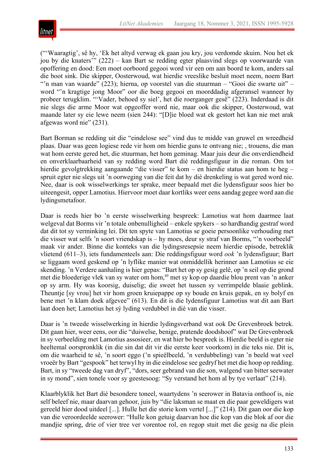

("'Waaragtig', sê hy, 'Ek het altyd verwag ek gaan jou kry, jou verdomde skuim. Nou het ek jou by die knaters'" (222) – kan Bart se redding egter plaasvind slegs op voorwaarde van opoffering en dood: Een moet oorboord gegooi word vir een om aan boord te kom, anders sal die boot sink. Die skipper, Oosterwoud, wat hierdie vreeslike besluit moet neem, noem Bart "'n man van waarde" (223); hierna, op voorstel van die stuurman – "Gooi die swarte uit" – word "'n kragtige jong Moor" oor die boeg gegooi en moorddadig afgeransel wanneer hy probeer terugklim. "'Vader, behoed sy siel', het die roerganger gesê" (223). Inderdaad is dit nie slegs die arme Moor wat opgeoffer word nie, maar ook die skipper, Oosterwoud, wat maande later sy eie lewe neem (sien 244): "[D]ie bloed wat ek gestort het kan nie met arak afgewas word nie" (231).

Bart Borman se redding uit die "eindelose see" vind dus te midde van gruwel en wreedheid plaas. Daar was geen logiese rede vir hom om hierdie guns te ontvang nie; , trouens, die man wat hom eerste gered het, die stuurman, het hom geminag. Maar juis deur die onverdiendheid en onverklaarbaarheid van sy redding word Bart dié reddingsfiguur in die roman. Om tot hierdie gevolgtrekking aangaande "die visser" te kom – en hierdie status aan hom te heg – spruit egter nie slegs uit 'n oorweging van die feit dat hy dié drenkeling is wat gered word nie. Nee, daar is ook wisselwerkings ter sprake, meer bepaald met die lydensfiguur soos hier bo uiteengesit, opper Lamotius. Hiervoor moet daar kortliks weer eens aandag gegee word aan die lydingsmetafoor.

Daar is reeds hier bo 'n eerste wisselwerking bespreek: Lamotius wat hom daarmee laat welgeval dat Borms vir 'n totale onbenulligheid – enkele spykers – so hardhandig gestraf word dat dit tot sy verminking lei. Dit ten spyte van Lamotius se goeie persoonlike verhouding met die visser wat selfs 'n soort vriendskap is – hy moes, deur sy straf van Borms, "'n voorbeeld" maak vir ander. Binne die konteks van die lydingsresepsie neem hierdie episode, betreklik vlietend (611–3), iets fundamenteels aan: Die reddingsfiguur word *ook* 'n lydensfiguur; Bart se liggaam word geskend op 'n lyflike manier wat onmiddellik herinner aan Lamotius se eie skending. 'n Verdere aanhaling is hier gepas: "Bart het op sy gesig gelê, op 'n seil op die grond met die bloederige vlek van sy water om hom,<sup>49</sup> met sy kop op daardie blou prent van 'n anker op sy arm. Hy was koorsig, duiselig; die sweet het tussen sy verrimpelde blaaie geblink. Theuntje [sy vrou] het vir hom groen kruiepappe op sy boude en kruis gepak, en sy bolyf en bene met 'n klam doek afgevee" (613). En dit is die lydensfiguur Lamotius wat dit aan Bart laat doen het; Lamotius het sý lyding verdubbel in dié van die visser.

Daar is 'n tweede wisselwerking in hierdie lydingsverband wat ook De Grevenbroek betrek. Dit gaan hier, weer eens, oor die "duiwelse, benige, pratende doodshoof" wat De Grevenbroek in sy verbeelding met Lamotius assosieer, en wat hier bo bespreek is. Hierdie beeld is egter nie heeltemal oorspronklik (in die sin dat dit vir die eerste keer voorkom) in die teks nie. Dit is, om die waarheid te sê, 'n soort eggo ('n spieëlbeeld, 'n verdubbeling) van 'n beeld wat veel vroeër by Bart "gespook" het terwyl hy in die eindelose see gedryf het met die hoop op redding. Bart, in sy "tweede dag van dryf", "dors, seer gebrand van die son, walgend van bitter seewater in sy mond", sien tonele voor sy geestesoog: "Sy verstand het hom al by tye verlaat" (214).

Klaarblyklik het Bart dié besondere toneel, waartydens 'n seerower in Batavia onthoof is, nie self beleef nie, maar daarvan gehoor, juis by "die laksman se maat en die paar geweldigers wat gereeld hier dood uitdeel [...]. Hulle het die storie kom vertel [...]" (214). Dit gaan oor die kop van die veroordeelde seerower: "Hulle kon getuig daarvan hoe die kop van die blok af oor die mandjie spring, drie of vier tree ver vorentoe rol, en regop stuit met die gesig na die plein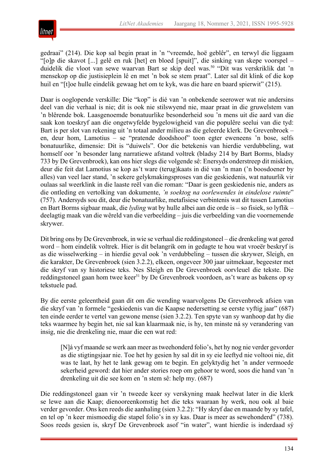

gedraai" (214). Die kop sal begin praat in 'n "vreemde, hoë geblêr", en terwyl die liggaam "[o]p die skavot [...] gelê en ruk [het] en bloed [spuit]", die sinking van skepe voorspel – duidelik die vloot van sewe waarvan Bart se skip deel was.<sup>50</sup> "Dit was verskriklik dat 'n mensekop op die justisieplein lê en met 'n bok se stem praat". Later sal dit klink of die kop huil en "[t]oe hulle eindelik gewaag het om te kyk, was die hare en baard spierwit" (215).

Daar is ooglopende verskille: Die "kop" is dié van 'n onbekende seerower wat nie andersins deel van die verhaal is nie; dit is ook nie stilswyend nie, maar praat in die gruwelstem van 'n blêrende bok. Laasgenoemde bonatuurlike besonderheid sou 'n mens uit die aard van die saak kon toeskryf aan die ongetwyfelde bygelowigheid van die populêre seelui van die tyd: Bart is per slot van rekening uit 'n totaal ander milieu as die geleerde klerk. De Grevenbroek – en, deur hom, Lamotius – se "pratende doodshoof" toon egter eweneens 'n bose, selfs bonatuurlike, dimensie: Dit is "duiwels". Oor die betekenis van hierdie verdubbeling, wat homself oor 'n besonder lang narratiewe afstand voltrek (bladsy 214 by Bart Borms, bladsy 733 by De Grevenbroek), kan ons hier slegs die volgende sê: Enersyds onderstreep dit miskien, deur die feit dat Lamotius se kop as't ware (terug)kaats in dié van 'n man ('n boosdoener by alles) van veel laer stand, 'n sekere gelykmakingsproses van die geskiedenis, wat natuurlik vir oulaas sal weerklink in die laaste reël van die roman: "Daar is geen geskiedenis nie, anders as die ontleding en vertolking van dokumente, *'n soektog na oorlewendes in eindelose ruimte*" (757). Andersyds sou dit, deur die bonatuurlike, metafisiese verbintenis wat dit tussen Lamotius en Bart Borms sigbaar maak, die *lyding* wat by hulle albei aan die orde is – so fisiek, so lyflik – deelagtig maak van die wêreld van die verbeelding – juis die verbeelding van die voornemende skrywer.

Dit bring ons by De Grevenbroek, in wie se verhaal die reddingstoneel – die drenkeling wat gered word – hom eindelik voltrek. Hier is dit belangrik om in gedagte te hou wat vroeër beskryf is as die wisselwerking – in hierdie geval ook 'n verdubbeling – tussen die skrywer, Sleigh, en die karakter, De Grevenbroek (sien 3.2.2), elkeen, ongeveer 300 jaar uitmekaar, begeester met die skryf van sy historiese teks. Nes Sleigh en De Grevenbroek oorvleuel die tekste. Die reddingstoneel gaan hom twee keer<sup>51</sup> by De Grevenbroek voordoen, as't ware as bakens op sy tekstuele pad.

By die eerste geleentheid gaan dit om die wending waarvolgens De Grevenbroek afsien van die skryf van 'n formele "geskiedenis van die Kaapse nedersetting se eerste vyftig jaar" (687) ten einde eerder te vertel van gewone mense (sien 3.2.2). Ten spyte van sy wanhoop dat hy die teks waarmee hy begin het, nie sal kan klaarmaak nie, is hy, ten minste ná sy verandering van insig, nie die drenkeling nie, maar die een wat red:

[N]á vyf maande se werk aan meer as tweehonderd folio's, het hy nog nie verder gevorder as die stigtingsjaar nie. Toe het hy gesien hy sal dit in sy eie leeftyd nie voltooi nie, dit was te laat, hy het te lank gewag om te begin. En gelyktydig het 'n ander vermoede sekerheid geword: dat hier ander stories roep om gehoor te word, soos die hand van 'n drenkeling uit die see kom en 'n stem sê: help my. (687)

Die reddingstoneel gaan vir 'n tweede keer sy verskyning maak heelwat later in die klerk se lewe aan die Kaap; dienooreenkomstig het die teks waaraan hy werk, nou ook al baie verder gevorder. Ons ken reeds die aanhaling (sien 3.2.2): "Hy skryf dae en maande by sy tafel, en tel op 'n keer mismoedig die stapel folio's in sy kas. Daar is meer as sewehonderd" (738). Soos reeds gesien is, skryf De Grevenbroek asof "in water", want hierdie is inderdaad sý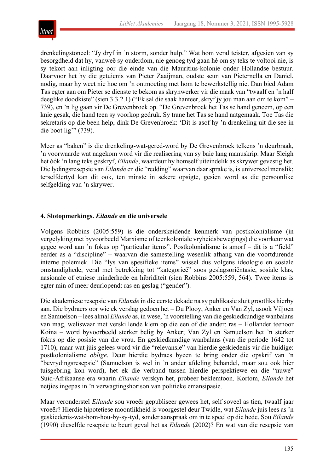

drenkelingstoneel: "Jy dryf in 'n storm, sonder hulp." Wat hom veral teister, afgesien van sy besorgdheid dat hy, vanweë sy ouderdom, nie genoeg tyd gaan hê om sy teks te voltooi nie, is sy tekort aan inligting oor die einde van die Mauritius-kolonie onder Hollandse bestuur. Daarvoor het hy die getuienis van Pieter Zaaijman, oudste seun van Pieternella en Daniel, nodig, maar hy weet nie hoe om 'n ontmoeting met hom te bewerkstellig nie. Dan bied Adam Tas egter aan om Pieter se dienste te bekom as skrynwerker vir die maak van "twaalf en 'n half deeglike doodkiste" (sien 3.3.2.1) ("Ek sal die saak hanteer, skryf jy jou man aan om te kom" – 739), en 'n lig gaan vir De Grevenbroek op. "De Grevenbroek het Tas se hand geneem, op een knie gesak, die hand teen sy voorkop gedruk. Sy trane het Tas se hand natgemaak. Toe Tas die sekretaris op die been help, dink De Grevenbroek: 'Dit is asof hy 'n drenkeling uit die see in die boot lig" (739).

Meer as "baken" is die drenkeling-wat-gered-word by De Grevenbroek telkens 'n deurbraak, 'n voorwaarde wat nagekom word vir die realisering van sy baie lang manuskrip. Maar Sleigh het óók 'n lang teks geskryf, *Eilande*, waardeur hy homself uiteindelik as skrywer gevestig het. Die lydingsresepsie van *Eilande* en die "redding" waarvan daar sprake is, is universeel menslik; terselfdertyd kan dit ook, ten minste in sekere opsigte, gesien word as die persoonlike selfgelding van 'n skrywer.

## **4. Slotopmerkings.** *Eilande* **en die universele**

Volgens Robbins (2005:559) is die onderskeidende kenmerk van postkolonialisme (in vergelyking met byvoorbeeld Marxisme of teenkoloniale vryheidsbewegings) die voorkeur wat gegee word aan 'n fokus op "particular items". Postkolonialisme is amorf – dit is a "field" eerder as a "discipline" – waarvan die samestelling wesenlik afhang van die voortdurende interne polemiek. Die "lys van spesifieke items" wissel dus volgens ideologie en sosiale omstandighede, veral met betrekking tot "kategorieë" soos geslagsoriëntasie, sosiale klas, nasionale of etniese minderhede en hibriditeit (sien Robbins 2005:559, 564). Twee items is egter min of meer deurlopend: ras en geslag ("gender").

Die akademiese resepsie van *Eilande* in die eerste dekade na sy publikasie sluit grootliks hierby aan. Die bydraers oor wie ek verslag gedoen het – Du Plooy, Anker en Van Zyl, asook Viljoen en Samuelson – lees almal *Eilande* as, in wese, 'n voorstelling van die geskiedkundige wanbalans van mag, weliswaar met verskillende klem op die een of die ander: ras – Hollander teenoor Koina – word byvoorbeeld sterker belig by Anker; Van Zyl en Samuelson het 'n sterker fokus op die posisie van die vrou. En geskiedkundige wanbalans (van die periode 1642 tot 1710), maar wat júis gelees word vir die "relevansie" van hierdie geskiedenis vir die huidige: postkolonialisme *oblige*. Deur hierdie bydraes byeen te bring onder die opskrif van 'n "bevrydingsresepsie" (Samuelson is wel in 'n ander afdeling behandel, maar sou ook hier tuisgebring kon word), het ek die verband tussen hierdie perspektiewe en die "nuwe" Suid-Afrikaanse era waarin *Eilande* verskyn het, probeer beklemtoon. Kortom, *Eilande* het netjies ingepas in 'n verwagtingshorison van politieke emansipasie.

Maar veronderstel *Eilande* sou vroeër gepubliseer gewees het, self soveel as tien, twaalf jaar vroeër? Hierdie hipotetiese moontlikheid is voorgestel deur Twidle, wat *Eilande* juis lees as 'n geskiedenis-wat-hom-hou-by-sy-tyd, sonder aanspraak om in te speel op die hede. Sou *Eilande* (1990) dieselfde resepsie te beurt geval het as *Eilande* (2002)? En wat van die resepsie van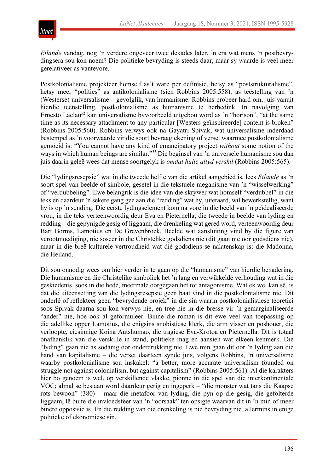

*Eilande* vandag, nog 'n verdere ongeveer twee dekades later, 'n era wat mens 'n postbevrydingsera sou kon noem? Die politieke bevryding is steeds daar, maar sy waarde is veel meer gerelativeer as vantevore.

Postkolonialisme projekteer homself as't ware per definisie, hetsy as "poststrukturalisme", hetsy meer "polities" as antikolonialisme (sien Robbins 2005:558), as teëstelling van 'n (Westerse) universalisme – gevolglik, van humanisme. Robbins probeer hard om, juis vanuit hierdie teenstelling, postkolonialisme as humanisme te herbedink. In navolging van Ernesto Laclau<sup>52</sup> kan universalisme byvoorbeeld uitgebou word as 'n "horison", "at the same time as its necessary attachment to any particular [Westers-geïnspireerde] content is broken" (Robbins 2005:560). Robbins verwys ook na Gayatri Spivak, wat universalisme inderdaad bestempel as 'n voorwaarde vir die soort bevraagtekening of verset waarmee postkolonialisme gemoeid is: "You cannot have any kind of emancipatory project *without* some notion of the ways in which human beings are similar."53 Die beginsel van 'n universele humanisme sou dan juis daarin geleë wees dat mense soortgelyk is *omdat hulle altyd verskil* (Robbins 2005:565).

Die "lydingsresepsie" wat in die tweede helfte van die artikel aangebied is, lees *Eilande* as 'n soort spel van beelde of simbole, gesetel in die tekstuele meganisme van 'n "wisselwerking" of "verdubbeling". Ewe belangrik is die idee van die skrywer wat homself "verdubbel" in die teks en daardeur 'n sekere gang gee aan die "redding" wat hy, uiteraard, wil bewerkstellig, want hy is op 'n sending. Die eerste lydingselement kom na vore in die beeld van 'n geïdealiseerde vrou, in die teks verteenwoordig deur Eva en Pieternella; die tweede in beelde van lyding en redding – die gepynigde gesig of liggaam, die drenkeling wat gered word, verteenwoordig deur Bart Borms, Lamotius en De Grevenbroek. Beelde wat aansluiting vind by die figure van verootmoediging, nie soseer in die Christelike godsdiens nie (dit gaan nie oor godsdiens nie), maar in die breë kulturele vertroudheid wat dié godsdiens se nalatenskap is: die Madonna, die Heiland.

Dit sou onnodig wees om hier verder in te gaan op die "humanisme" van hierdie benadering. Die humanisme en die Christelike simboliek het 'n lang en verwikkelde verhouding wat in die geskiedenis, soos in die hede, meermale oorgegaan het tot antagonisme. Wat ek wel kan sê, is dat die uiteensetting van die lydingsresepsie geen baat vind in die postkolonialisme nie. Dit onderlê of reflekteer geen "bevrydende projek" in die sin waarin postkolonialistiese teoretici soos Spivak daarna sou kon verwys nie, en tree nie in die bresse vir 'n gemarginaliseerde "ander" nie, hoe ook al geformuleer. Binne die roman is dit ewe veel van toepassing op die adellike opper Lamotius, die enigsins snobistiese klerk, die arm visser en poshouer, die verloopte, eiesinnige Koina Autshumao, die tragiese Eva-Krotoa en Pieternella. Dit is totaal onafhanklik van die verskille in stand, politieke mag en aansien wat elkeen kenmerk. Die "lyding" gaan nie as sodanig oor onderdrukking nie. Ewe min gaan dit oor 'n lyding aan die hand van kapitalisme – die verset daarteen synde juis, volgens Robbins, 'n universalisme waarby postkolonialisme sou inskakel: "a better, more accurate universalism founded on struggle not against colonialism, but against capitalism" (Robbins 2005:561). Al die karakters hier bo genoem is wel, op verskillende vlakke, pionne in die spel van die interkontinentale VOC; almal se bestaan word daardeur gerig en ingeperk – "die monster wat tans die Kaapse rots bewoon" (380) – maar die metafoor van lyding, die pyn op die gesig, die gefolterde liggaam, lê buite die invloedsfeer van 'n "oorsaak" ten opsigte waarvan dit in 'n min of meer binêre opposisie is. En die redding van die drenkeling is nie bevryding nie, allermins in enige politieke of ekonomiese sin.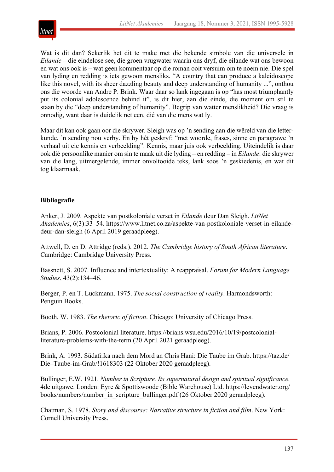

Wat is dit dan? Sekerlik het dit te make met die bekende simbole van die universele in *Eilande* – die eindelose see, die groen vrugwater waarin ons dryf, die eilande wat ons bewoon en wat ons ook is – wat geen kommentaar op die roman ooit versuim om te noem nie. Die spel van lyding en redding is iets gewoon mensliks. "A country that can produce a kaleidoscope like this novel, with its sheer dazzling beauty and deep understanding of humanity ...", onthou ons die woorde van Andre P. Brink. Waar daar so lank ingegaan is op "has most triumphantly put its colonial adolescence behind it", is dit hier, aan die einde, die moment om stil te staan by die "deep understanding of humanity". Begrip van watter menslikheid? Die vraag is onnodig, want daar is duidelik net een, dié van die mens wat ly.

Maar dit kan ook gaan oor die skrywer. Sleigh was op 'n sending aan die wêreld van die letterkunde, 'n sending nou verby. En hy hét geskryf: "met woorde, frases, sinne en paragrawe 'n verhaal uit eie kennis en verbeelding". Kennis, maar juis ook verbeelding. Uiteindelik is daar ook dié persoonlike manier om sin te maak uit die lyding – en redding – in *Eilande*: die skrywer van die lang, uitmergelende, immer onvoltooide teks, lank soos 'n geskiedenis, en wat dit tog klaarmaak.

## **Bibliografie**

Anker, J. 2009. Aspekte van postkoloniale verset in *Eilande* deur Dan Sleigh. *LitNet Akademies*, 6(3):33–54. https://www.litnet.co.za/aspekte-van-postkoloniale-verset-in-eilandedeur-dan-sleigh (6 April 2019 geraadpleeg).

Attwell, D. en D. Attridge (reds.). 2012. *The Cambridge history of South African literature*. Cambridge: Cambridge University Press.

Bassnett, S. 2007. Influence and intertextuality: A reappraisal. *Forum for Modern Language Studies*, 43(2):134–46.

Berger, P. en T. Luckmann. 1975. *The social construction of reality*. Harmondsworth: Penguin Books.

Booth, W. 1983. *The rhetoric of fiction*. Chicago: University of Chicago Press.

Brians, P. 2006. Postcolonial literature. https://brians.wsu.edu/2016/10/19/postcolonialliterature-problems-with-the-term (20 April 2021 geraadpleeg).

Brink, A. 1993. Südafrika nach dem Mord an Chris Hani: Die Taube im Grab. https://taz.de/ Die–Taube-im-Grab/!1618303 (22 Oktober 2020 geraadpleeg).

Bullinger, E.W. 1921. *Number in Scripture. Its supernatural design and spiritual significance*. 4de uitgawe. Londen: Eyre & Spottiswoode (Bible Warehouse) Ltd. https://levendwater.org/ books/numbers/number\_in\_scripture\_bullinger.pdf (26 Oktober 2020 geraadpleeg).

Chatman, S. 1978. *Story and discourse: Narrative structure in fiction and film*. New York: Cornell University Press.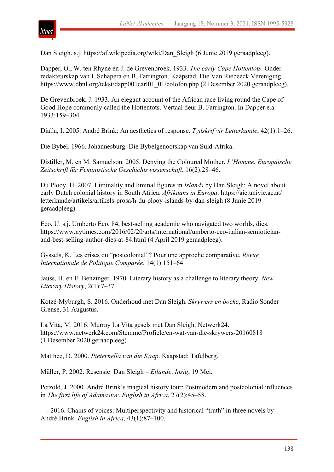Dan Sleigh. s.j. https://af.wikipedia.org/wiki/Dan Sleigh (6 Junie 2019 geraadpleeg).

Dapper, O., W. ten Rhyne en J. de Grevenbroek. 1933. *The early Cape Hottentots*. Onder redakteurskap van I. Schapera en B. Farrington. Kaapstad: Die Van Riebeeck Vereniging. https://www.dbnl.org/tekst/dapp001earl01\_01/colofon.php (2 Desember 2020 geraadpleeg).

De Grevenbroek, J. 1933. An elegant account of the African race living round the Cape of Good Hope commonly called the Hottentots. Vertaal deur B. Farrington. In Dapper e.a. 1933:159–304.

Dialla, I. 2005. André Brink: An aesthetics of response. *Tydskrif vir Letterkunde*, 42(1):1–26.

Die Bybel. 1966. Johannesburg: Die Bybelgenootskap van Suid-Afrika.

Distiller, M. en M. Samuelson. 2005. Denying the Coloured Mother. *L'Homme. Europäische Zeitschrift für Feministische Geschichtswissenschaft*, 16(2):28–46.

Du Plooy, H. 2007. Liminality and liminal figures in *Islands* by Dan Sleigh: A novel about early Dutch colonial history in South Africa. *Afrikaans in Europa*. https://aie.univie.ac.at/ letterkunde/artikels/artikels-prosa/h-du-plooy-islands-by-dan-sleigh (8 Junie 2019 geraadpleeg).

Eco, U. s.j. Umberto Eco, 84, best-selling academic who navigated two worlds, dies. https://www.nytimes.com/2016/02/20/arts/international/umberto-eco-italian-semioticianand-best-selling-author-dies-at-84.html (4 April 2019 geraadpleeg).

Gyssels, K. Les crises du "postcolonial"? Pour une approche comparative. *Revue Internationale de Politique Comparée*, 14(1):151–64.

Jauss, H. en E. Benzinger. 1970. Literary history as a challenge to literary theory. *New Literary History*, 2(1):7–37.

Kotzé-Myburgh, S. 2016. Onderhoud met Dan Sleigh. *Skrywers en boeke*, Radio Sonder Grense, 31 Augustus.

La Vita, M. 2016. Murray La Vita gesels met Dan Sleigh. Netwerk24. https://www.netwerk24.com/Stemme/Profiele/en-wat-van-die-skrywers-20160818 (1 Desember 2020 geraadpleeg)

Matthee, D. 2000. *Pieternella van die Kaap*. Kaapstad: Tafelberg.

Müller, P. 2002. Resensie: Dan Sleigh – *Eilande*. *Insig*, 19 Mei.

Petzold, J. 2000. André Brink's magical history tour: Postmodern and postcolonial influences in *The first life of Adamastor*. *English in Africa*, 27(2):45–58.

—. 2016. Chains of voices: Multiperspectivity and historical "truth" in three novels by André Brink. *English in Africa*, 43(1):87–100.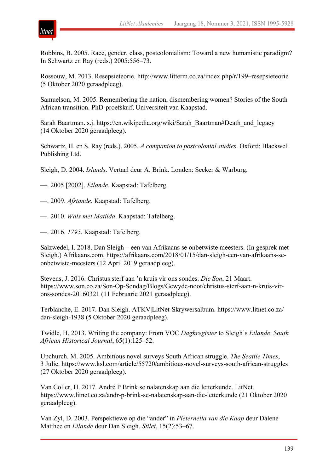

Robbins, B. 2005. Race, gender, class, postcolonialism: Toward a new humanistic paradigm? In Schwartz en Ray (reds.) 2005:556–73.

Rossouw, M. 2013. Resepsieteorie. http://www.litterm.co.za/index.php/r/199–resepsieteorie (5 Oktober 2020 geraadpleeg).

Samuelson, M. 2005. Remembering the nation, dismembering women? Stories of the South African transition. PhD-proefskrif, Universiteit van Kaapstad.

Sarah Baartman. s.j. https://en.wikipedia.org/wiki/Sarah\_Baartman#Death\_and\_legacy (14 Oktober 2020 geraadpleeg).

Schwartz, H. en S. Ray (reds.). 2005. *A companion to postcolonial studies*. Oxford: Blackwell Publishing Ltd.

Sleigh, D. 2004. *Islands*. Vertaal deur A. Brink. Londen: Secker & Warburg.

—. 2005 [2002]. *Eilande*. Kaapstad: Tafelberg.

- —. 2009. *Afstande*. Kaapstad: Tafelberg.
- —. 2010. *Wals met Matilda*. Kaapstad: Tafelberg.

—. 2016. *1795*. Kaapstad: Tafelberg.

Salzwedel, I. 2018. Dan Sleigh – een van Afrikaans se onbetwiste meesters. (In gesprek met Sleigh.) Afrikaans.com. https://afrikaans.com/2018/01/15/dan-sleigh-een-van-afrikaans-seonbetwiste-meesters (12 April 2019 geraadpleeg).

Stevens, J. 2016. Christus sterf aan 'n kruis vir ons sondes. *Die Son*, 21 Maart. https://www.son.co.za/Son-Op-Sondag/Blogs/Gewyde-noot/christus-sterf-aan-n-kruis-virons-sondes-20160321 (11 Februarie 2021 geraadpleeg).

Terblanche, E. 2017. Dan Sleigh. ATKV|LitNet-Skrywersalbum. https://www.litnet.co.za/ dan-sleigh-1938 (5 Oktober 2020 geraadpleeg).

Twidle, H. 2013. Writing the company: From VOC *Daghregister* to Sleigh's *Eilande*. *South African Historical Journal*, 65(1):125–52.

Upchurch. M. 2005. Ambitious novel surveys South African struggle. *The Seattle Times*, 3 Julie. https://www.ksl.com/article/55720/ambitious-novel-surveys-south-african-struggles (27 Oktober 2020 geraadpleeg).

Van Coller, H. 2017. André P Brink se nalatenskap aan die letterkunde. LitNet. https://www.litnet.co.za/andr-p-brink-se-nalatenskap-aan-die-letterkunde (21 Oktober 2020 geraadpleeg).

Van Zyl, D. 2003. Perspektiewe op die "ander" in *Pieternella van die Kaap* deur Dalene Matthee en *Eilande* deur Dan Sleigh. *Stilet*, 15(2):53–67.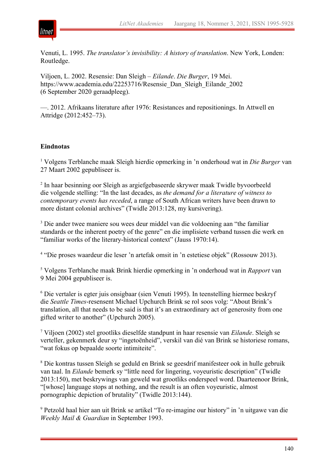

Venuti, L. 1995. *The translator's invisibility: A history of translation*. New York, Londen: Routledge.

Viljoen, L. 2002. Resensie: Dan Sleigh – *Eilande*. *Die Burger*, 19 Mei. https://www.academia.edu/22253716/Resensie\_Dan\_Sleigh\_Eilande\_2002 (6 September 2020 geraadpleeg).

—. 2012. Afrikaans literature after 1976: Resistances and repositionings. In Attwell en Attridge (2012:452–73).

## **Eindnotas**

<sup>1</sup> Volgens Terblanche maak Sleigh hierdie opmerking in 'n onderhoud wat in *Die Burger* van 27 Maart 2002 gepubliseer is.

<sup>2</sup> In haar besinning oor Sleigh as argiefgebaseerde skrywer maak Twidle byvoorbeeld die volgende stelling: "In the last decades, as *the demand for a literature of witness to contemporary events has receded*, a range of South African writers have been drawn to more distant colonial archives" (Twidle 2013:128, my kursivering).

<sup>3</sup> Die ander twee maniere sou wees deur middel van die voldoening aan "the familiar" standards or the inherent poetry of the genre" en die implisiete verband tussen die werk en "familiar works of the literary-historical context" (Jauss 1970:14).

<sup>4</sup> "Die proses waardeur die leser 'n artefak omsit in 'n estetiese objek" (Rossouw 2013).

<sup>5</sup> Volgens Terblanche maak Brink hierdie opmerking in 'n onderhoud wat in *Rapport* van 9 Mei 2004 gepubliseer is.

<sup>6</sup> Die vertaler is egter juis onsigbaar (sien Venuti 1995). In teenstelling hiermee beskryf die *Seattle Times*-resensent Michael Upchurch Brink se rol soos volg: "About Brink's translation, all that needs to be said is that it's an extraordinary act of generosity from one gifted writer to another" (Upchurch 2005).

<sup>7</sup> Viljoen (2002) stel grootliks dieselfde standpunt in haar resensie van *Eilande*. Sleigh se verteller, gekenmerk deur sy "ingetoënheid", verskil van dié van Brink se historiese romans, "wat fokus op bepaalde soorte intimiteite".

<sup>8</sup> Die kontras tussen Sleigh se geduld en Brink se geesdrif manifesteer ook in hulle gebruik van taal. In *Eilande* bemerk sy "little need for lingering, voyeuristic description" (Twidle 2013:150), met beskrywings van geweld wat grootliks onderspeel word. Daarteenoor Brink, "[whose] language stops at nothing, and the result is an often voyeuristic, almost pornographic depiction of brutality" (Twidle 2013:144).

<sup>9</sup> Petzold haal hier aan uit Brink se artikel "To re-imagine our history" in 'n uitgawe van die *Weekly Mail & Guardian* in September 1993.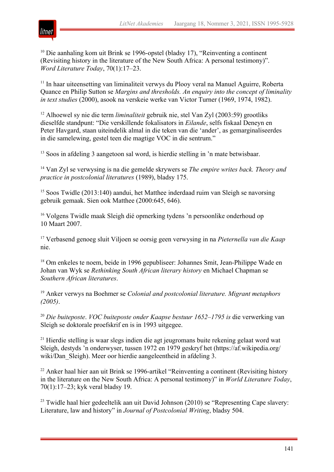

<sup>10</sup> Die aanhaling kom uit Brink se 1996-opstel (bladsy 17), "Reinventing a continent (Revisiting history in the literature of the New South Africa: A personal testimony)". *Word Literature Today*, 70(1):17–23.

<sup>11</sup> In haar uiteensetting van liminaliteit verwys du Plooy veral na Manuel Aguirre, Roberta Quance en Philip Sutton se *Margins and thresholds. An enquiry into the concept of liminality in text studies* (2000), asook na verskeie werke van Victor Turner (1969, 1974, 1982).

<sup>12</sup> Alhoewel sy nie die term *liminaliteit* gebruik nie, stel Van Zyl (2003:59) grootliks dieselfde standpunt: "Die verskillende fokalisators in *Eilande*, selfs fiskaal Deneyn en Peter Havgard, staan uiteindelik almal in die teken van die 'ander', as gemarginaliseerdes in die samelewing, gestel teen die magtige VOC in die sentrum."

<sup>13</sup> Soos in afdeling 3 aangetoon sal word, is hierdie stelling in 'n mate betwisbaar.

<sup>14</sup> Van Zyl se verwysing is na die gemelde skrywers se *The empire writes back. Theory and practice in postcolonial literatures* (1989), bladsy 175.

<sup>15</sup> Soos Twidle (2013:140) aandui, het Matthee inderdaad ruim van Sleigh se navorsing gebruik gemaak. Sien ook Matthee (2000:645, 646).

<sup>16</sup> Volgens Twidle maak Sleigh dié opmerking tydens 'n persoonlike onderhoud op 10 Maart 2007.

<sup>17</sup> Verbasend genoeg sluit Viljoen se oorsig geen verwysing in na *Pieternella van die Kaap* nie.

<sup>18</sup> Om enkeles te noem, beide in 1996 gepubliseer: Johannes Smit, Jean-Philippe Wade en Johan van Wyk se *Rethinking South African literary history* en Michael Chapman se *Southern African literatures*.

<sup>19</sup> Anker verwys na Boehmer se *Colonial and postcolonial literature. Migrant metaphors (2005)*.

<sup>20</sup> *Die buiteposte*. *VOC buiteposte onder Kaapse bestuur 1652–1795 is* die verwerking van Sleigh se doktorale proefskrif en is in 1993 uitgegee.

<sup>21</sup> Hierdie stelling is waar slegs indien die agt jeugromans buite rekening gelaat word wat Sleigh, destyds 'n onderwyser, tussen 1972 en 1979 geskryf het (https://af.wikipedia.org/ wiki/Dan Sleigh). Meer oor hierdie aangeleentheid in afdeling 3.

 $22$  Anker haal hier aan uit Brink se 1996-artikel "Reinventing a continent (Revisiting history in the literature on the New South Africa: A personal testimony)" in *World Literature Today*, 70(1):17–23; kyk veral bladsy 19.

 $23$  Twidle haal hier gedeeltelik aan uit David Johnson (2010) se "Representing Cape slavery: Literature, law and history" in *Journal of Postcolonial Writing*, bladsy 504.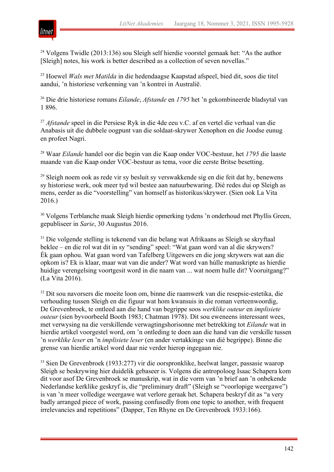

<sup>24</sup> Volgens Twidle (2013:136) sou Sleigh self hierdie voorstel gemaak het: "As the author [Sleigh] notes, his work is better described as a collection of seven novellas."

<sup>25</sup> Hoewel *Wals met Matilda* in die hedendaagse Kaapstad afspeel, bied dit, soos die titel aandui, 'n historiese verkenning van 'n kontrei in Australië.

<sup>26</sup> Die drie historiese romans *Eilande*, *Afstande* en *1795* het 'n gekombineerde bladsytal van 1 896.

<sup>27</sup> *Afstande* speel in die Persiese Ryk in die 4de eeu v.C. af en vertel die verhaal van die Anabasis uit die dubbele oogpunt van die soldaat-skrywer Xenophon en die Joodse eunug en profeet Nagri.

<sup>28</sup> Waar *Eilande* handel oor die begin van die Kaap onder VOC-bestuur, het *1795* die laaste maande van die Kaap onder VOC-bestuur as tema, voor die eerste Britse besetting.

<sup>29</sup> Sleigh noem ook as rede vir sy besluit sy verswakkende sig en die feit dat hy, benewens sy historiese werk, ook meer tyd wil bestee aan natuurbewaring. Dié redes dui op Sleigh as mens, eerder as die "voorstelling" van homself as historikus/skrywer. (Sien ook La Vita 2016.)

<sup>30</sup> Volgens Terblanche maak Sleigh hierdie opmerking tydens 'n onderhoud met Phyllis Green, gepubliseer in *Sarie*, 30 Augustus 2016.

<sup>31</sup> Die volgende stelling is tekenend van die belang wat Afrikaans as Sleigh se skryftaal beklee – en die rol wat dit in sy "sending" speel: "Wat gaan word van al die skrywers? Ék gaan ophou. Wat gaan word van Tafelberg Uitgewers en die jong skrywers wat aan die opkom is? Ek is klaar, maar wat van die ander? Wat word van húlle manuskripte as hierdie huidige verengelsing voortgesit word in die naam van ... wat noem hulle dit? Vooruitgang?" (La Vita 2016).

<sup>32</sup> Dit sou navorsers die moeite loon om, binne die raamwerk van die resepsie-estetika, die verhouding tussen Sleigh en die figuur wat hom kwansuis in die roman verteenwoordig, De Grevenbroek, te ontleed aan die hand van begrippe soos *werklike outeur* en *implisiete outeur* (sien byvoorbeeld Booth 1983; Chatman 1978). Dit sou eweneens interessant wees, met verwysing na die verskillende verwagtingshorisonne met betrekking tot *Eilande* wat in hierdie artikel voorgestel word, om 'n ontleding te doen aan die hand van die verskille tussen 'n *werklike leser* en 'n *implisiete leser* (en ander vertakkinge van dié begrippe). Binne die grense van hierdie artikel word daar nie verder hierop ingegaan nie.

<sup>33</sup> Sien De Grevenbroek (1933:277) vir die oorspronklike, heelwat langer, passasie waarop Sleigh se beskrywing hier duidelik gebaseer is. Volgens die antropoloog Isaac Schapera kom dit voor asof De Grevenbroek se manuskrip, wat in die vorm van 'n brief aan 'n onbekende Nederlandse kerklike geskryf is, die "preliminary draft" (Sleigh se "voorlopige weergawe") is van 'n meer volledige weergawe wat verlore geraak het. Schapera beskryf dit as "a very badly arranged piece of work, passing confusedly from one topic to another, with frequent irrelevancies and repetitions" (Dapper, Ten Rhyne en De Grevenbroek 1933:166).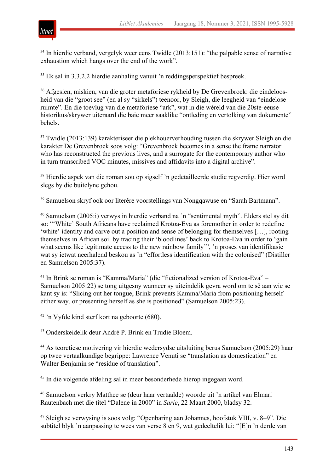

 $34$  In hierdie verband, vergelyk weer eens Twidle (2013:151): "the palpable sense of narrative exhaustion which hangs over the end of the work".

<sup>35</sup> Ek sal in 3.3.2.2 hierdie aanhaling vanuit 'n reddingsperspektief bespreek.

<sup>36</sup> Afgesien, miskien, van die groter metaforiese rykheid by De Grevenbroek: die eindeloosheid van die "groot see" (en al sy "sirkels") teenoor, by Sleigh, die leegheid van "eindelose ruimte". En die toevlug van die metaforiese "ark", wat in die wêreld van die 20ste-eeuse historikus/skrywer uiteraard die baie meer saaklike "ontleding en vertolking van dokumente" behels.

<sup>37</sup> Twidle (2013:139) karakteriseer die plekhouerverhouding tussen die skrywer Sleigh en die karakter De Grevenbroek soos volg: "Grevenbroek becomes in a sense the frame narrator who has reconstructed the previous lives, and a surrogate for the contemporary author who in turn transcribed VOC minutes, missives and affidavits into a digital archive".

<sup>38</sup> Hierdie aspek van die roman sou op sigself 'n gedetailleerde studie regverdig. Hier word slegs by die buitelyne gehou.

<sup>39</sup> Samuelson skryf ook oor literêre voorstellings van Nongqawuse en "Sarah Bartmann".

<sup>40</sup> Samuelson (2005:i) verwys in hierdie verband na 'n "sentimental myth". Elders stel sy dit so: "'White' South Africans have reclaimed Krotoa-Eva as foremother in order to redefine 'white' identity and carve out a position and sense of belonging for themselves […], rooting themselves in African soil by tracing their 'bloodlines' back to Krotoa-Eva in order to 'gain what seems like legitimate access to the new rainbow family'", 'n proses van identifikasie wat sy ietwat neerhalend beskou as 'n "effortless identification with the colonised" (Distiller en Samuelson 2005:37).

<sup>41</sup> In Brink se roman is "Kamma/Maria" (die "fictionalized version of Krotoa-Eva" – Samuelson 2005:22) se tong uitgesny wanneer sy uiteindelik gevra word om te sê aan wie se kant sy is: "Slicing out her tongue, Brink prevents Kamma/Maria from positioning herself either way, or presenting herself as she is positioned" (Samuelson 2005:23).

<sup>42</sup> 'n Vyfde kind sterf kort na geboorte (680).

<sup>43</sup> Onderskeidelik deur André P. Brink en Trudie Bloem.

<sup>44</sup> As teoretiese motivering vir hierdie wedersydse uitsluiting berus Samuelson (2005:29) haar op twee vertaalkundige begrippe: Lawrence Venuti se "translation as domestication" en Walter Benjamin se "residue of translation".

<sup>45</sup> In die volgende afdeling sal in meer besonderhede hierop ingegaan word.

<sup>46</sup> Samuelson verkry Matthee se (deur haar vertaalde) woorde uit 'n artikel van Elmari Rautenbach met die titel "Dalene in 2000" in *Sarie*, 22 Maart 2000, bladsy 32.

<sup>47</sup> Sleigh se verwysing is soos volg: "Openbaring aan Johannes, hoofstuk VIII, v. 8–9". Die subtitel blyk 'n aanpassing te wees van verse 8 en 9, wat gedeeltelik lui: "[E]n 'n derde van